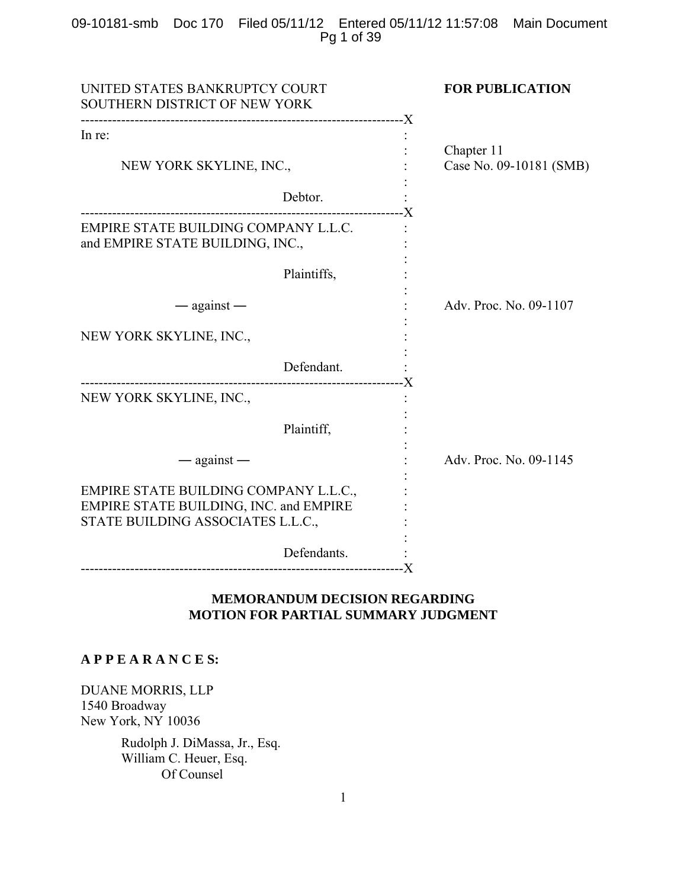# 09-10181-smb Doc 170 Filed 05/11/12 Entered 05/11/12 11:57:08 Main Document Pg 1 of 39

| UNITED STATES BANKRUPTCY COURT<br>SOUTHERN DISTRICT OF NEW YORK                                                      | <b>FOR PUBLICATION</b>                |
|----------------------------------------------------------------------------------------------------------------------|---------------------------------------|
| In re:                                                                                                               |                                       |
| NEW YORK SKYLINE, INC.,                                                                                              | Chapter 11<br>Case No. 09-10181 (SMB) |
| Debtor.                                                                                                              |                                       |
| EMPIRE STATE BUILDING COMPANY L.L.C.<br>and EMPIRE STATE BUILDING, INC.,                                             |                                       |
| Plaintiffs,                                                                                                          |                                       |
| $-$ against $-$                                                                                                      | Adv. Proc. No. 09-1107                |
| NEW YORK SKYLINE, INC.,                                                                                              |                                       |
| Defendant.                                                                                                           |                                       |
| NEW YORK SKYLINE, INC.,                                                                                              |                                       |
| Plaintiff,                                                                                                           |                                       |
| $-$ against $-$                                                                                                      | Adv. Proc. No. 09-1145                |
| EMPIRE STATE BUILDING COMPANY L.L.C.,<br>EMPIRE STATE BUILDING, INC. and EMPIRE<br>STATE BUILDING ASSOCIATES L.L.C., |                                       |
| Defendants.                                                                                                          |                                       |
|                                                                                                                      |                                       |

# **MEMORANDUM DECISION REGARDING MOTION FOR PARTIAL SUMMARY JUDGMENT**

# **A P P E A R A N C E S:**

DUANE MORRIS, LLP 1540 Broadway New York, NY 10036

> Rudolph J. DiMassa, Jr., Esq. William C. Heuer, Esq. Of Counsel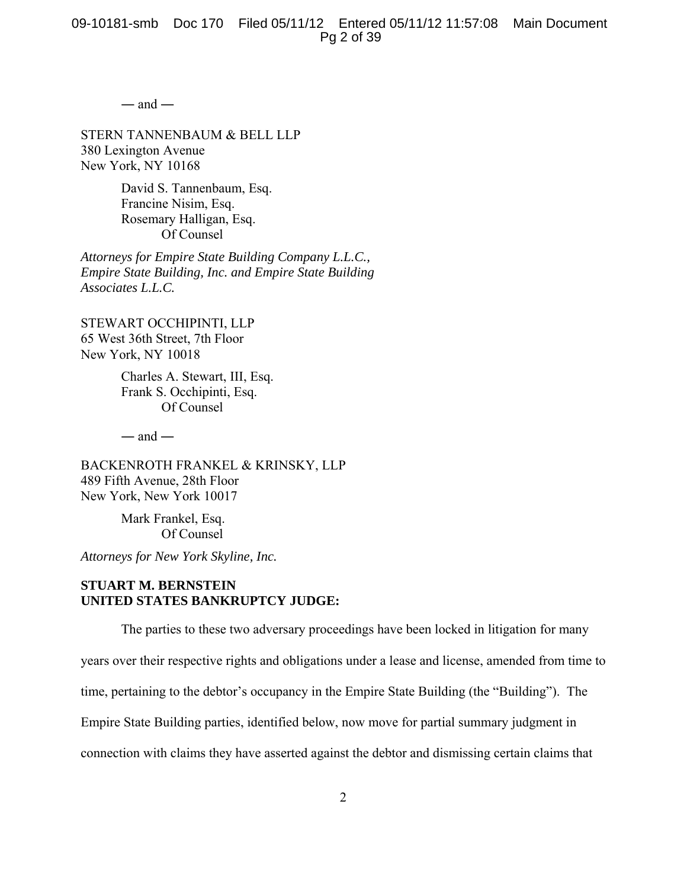$-$  and  $-$ 

STERN TANNENBAUM & BELL LLP 380 Lexington Avenue New York, NY 10168

> David S. Tannenbaum, Esq. Francine Nisim, Esq. Rosemary Halligan, Esq. Of Counsel

*Attorneys for Empire State Building Company L.L.C., Empire State Building, Inc. and Empire State Building Associates L.L.C.*

STEWART OCCHIPINTI, LLP 65 West 36th Street, 7th Floor New York, NY 10018

> Charles A. Stewart, III, Esq. Frank S. Occhipinti, Esq. Of Counsel

 $-$  and  $-$ 

BACKENROTH FRANKEL & KRINSKY, LLP 489 Fifth Avenue, 28th Floor New York, New York 10017

> Mark Frankel, Esq. Of Counsel

*Attorneys for New York Skyline, Inc.*

# **STUART M. BERNSTEIN UNITED STATES BANKRUPTCY JUDGE:**

The parties to these two adversary proceedings have been locked in litigation for many

years over their respective rights and obligations under a lease and license, amended from time to

time, pertaining to the debtor's occupancy in the Empire State Building (the "Building"). The

Empire State Building parties, identified below, now move for partial summary judgment in

connection with claims they have asserted against the debtor and dismissing certain claims that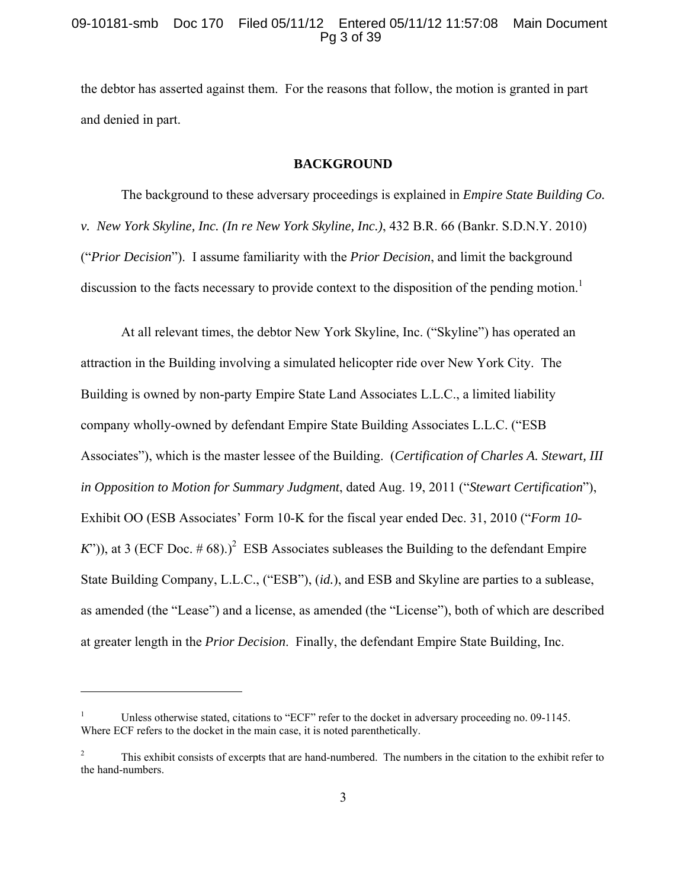## 09-10181-smb Doc 170 Filed 05/11/12 Entered 05/11/12 11:57:08 Main Document Pg 3 of 39

the debtor has asserted against them. For the reasons that follow, the motion is granted in part and denied in part.

#### **BACKGROUND**

The background to these adversary proceedings is explained in *Empire State Building Co. v. New York Skyline, Inc. (In re New York Skyline, Inc.)*, 432 B.R. 66 (Bankr. S.D.N.Y. 2010) ("*Prior Decision*"). I assume familiarity with the *Prior Decision*, and limit the background discussion to the facts necessary to provide context to the disposition of the pending motion.<sup>1</sup>

At all relevant times, the debtor New York Skyline, Inc. ("Skyline") has operated an attraction in the Building involving a simulated helicopter ride over New York City. The Building is owned by non-party Empire State Land Associates L.L.C., a limited liability company wholly-owned by defendant Empire State Building Associates L.L.C. ("ESB Associates"), which is the master lessee of the Building. (*Certification of Charles A. Stewart, III in Opposition to Motion for Summary Judgment*, dated Aug. 19, 2011 ("*Stewart Certification*"), Exhibit OO (ESB Associates' Form 10-K for the fiscal year ended Dec. 31, 2010 ("*Form 10- K*")), at 3 (ECF Doc. #68).)<sup>2</sup> ESB Associates subleases the Building to the defendant Empire State Building Company, L.L.C., ("ESB"), (*id.*), and ESB and Skyline are parties to a sublease, as amended (the "Lease") and a license, as amended (the "License"), both of which are described at greater length in the *Prior Decision*. Finally, the defendant Empire State Building, Inc.

1

<sup>1</sup> Unless otherwise stated, citations to "ECF" refer to the docket in adversary proceeding no. 09-1145. Where ECF refers to the docket in the main case, it is noted parenthetically.

<sup>2</sup> This exhibit consists of excerpts that are hand-numbered. The numbers in the citation to the exhibit refer to the hand-numbers.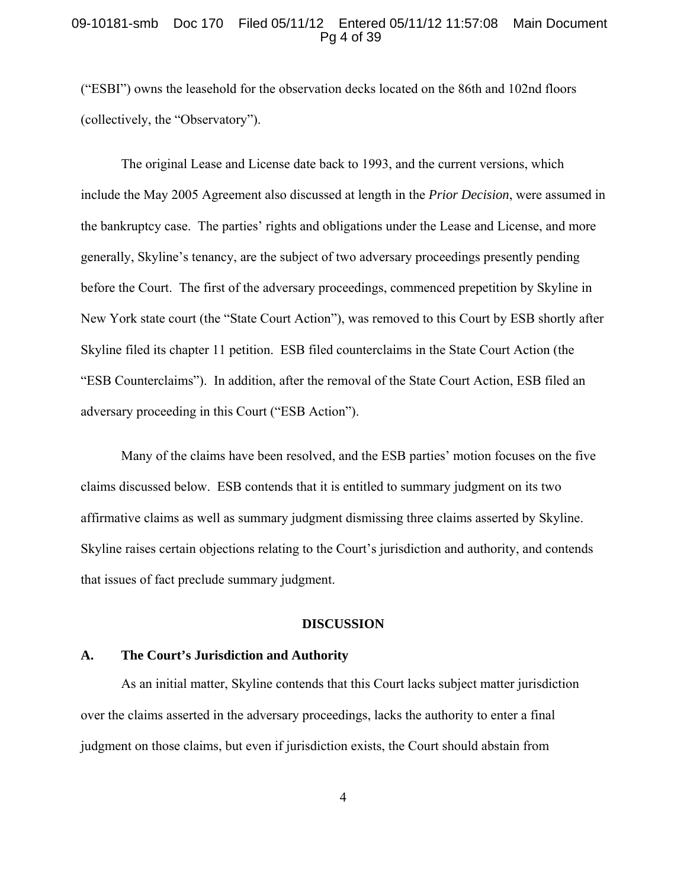#### 09-10181-smb Doc 170 Filed 05/11/12 Entered 05/11/12 11:57:08 Main Document Pg 4 of 39

("ESBI") owns the leasehold for the observation decks located on the 86th and 102nd floors (collectively, the "Observatory").

The original Lease and License date back to 1993, and the current versions, which include the May 2005 Agreement also discussed at length in the *Prior Decision*, were assumed in the bankruptcy case. The parties' rights and obligations under the Lease and License, and more generally, Skyline's tenancy, are the subject of two adversary proceedings presently pending before the Court. The first of the adversary proceedings, commenced prepetition by Skyline in New York state court (the "State Court Action"), was removed to this Court by ESB shortly after Skyline filed its chapter 11 petition. ESB filed counterclaims in the State Court Action (the "ESB Counterclaims"). In addition, after the removal of the State Court Action, ESB filed an adversary proceeding in this Court ("ESB Action").

Many of the claims have been resolved, and the ESB parties' motion focuses on the five claims discussed below. ESB contends that it is entitled to summary judgment on its two affirmative claims as well as summary judgment dismissing three claims asserted by Skyline. Skyline raises certain objections relating to the Court's jurisdiction and authority, and contends that issues of fact preclude summary judgment.

### **DISCUSSION**

# **A. The Court's Jurisdiction and Authority**

As an initial matter, Skyline contends that this Court lacks subject matter jurisdiction over the claims asserted in the adversary proceedings, lacks the authority to enter a final judgment on those claims, but even if jurisdiction exists, the Court should abstain from

4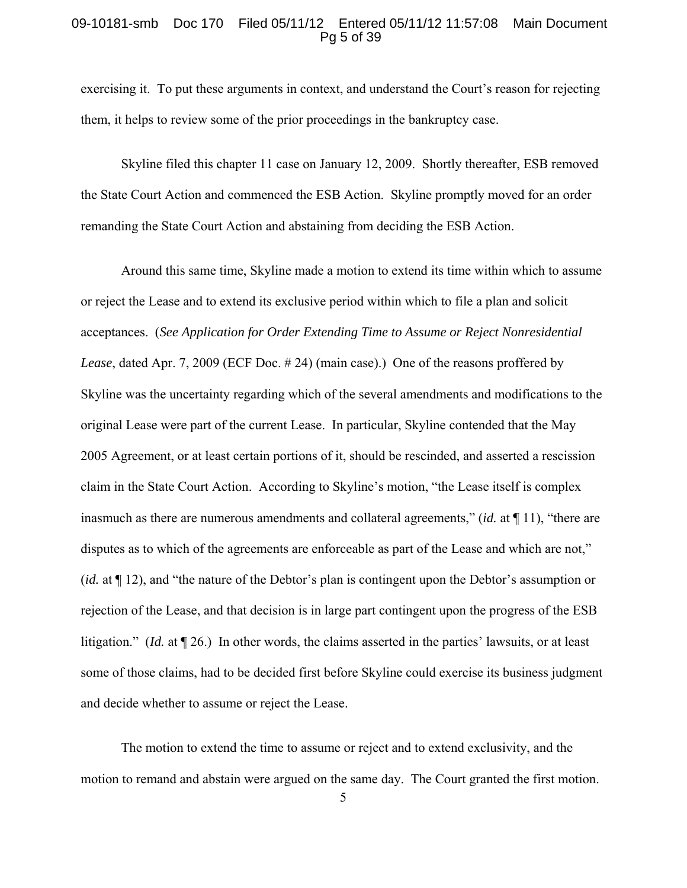#### 09-10181-smb Doc 170 Filed 05/11/12 Entered 05/11/12 11:57:08 Main Document Pg 5 of 39

exercising it. To put these arguments in context, and understand the Court's reason for rejecting them, it helps to review some of the prior proceedings in the bankruptcy case.

Skyline filed this chapter 11 case on January 12, 2009. Shortly thereafter, ESB removed the State Court Action and commenced the ESB Action. Skyline promptly moved for an order remanding the State Court Action and abstaining from deciding the ESB Action.

Around this same time, Skyline made a motion to extend its time within which to assume or reject the Lease and to extend its exclusive period within which to file a plan and solicit acceptances. (*See Application for Order Extending Time to Assume or Reject Nonresidential Lease*, dated Apr. 7, 2009 (ECF Doc. # 24) (main case).) One of the reasons proffered by Skyline was the uncertainty regarding which of the several amendments and modifications to the original Lease were part of the current Lease. In particular, Skyline contended that the May 2005 Agreement, or at least certain portions of it, should be rescinded, and asserted a rescission claim in the State Court Action. According to Skyline's motion, "the Lease itself is complex inasmuch as there are numerous amendments and collateral agreements," (*id.* at ¶ 11), "there are disputes as to which of the agreements are enforceable as part of the Lease and which are not," (*id.* at ¶ 12), and "the nature of the Debtor's plan is contingent upon the Debtor's assumption or rejection of the Lease, and that decision is in large part contingent upon the progress of the ESB litigation." (*Id.* at ¶ 26.) In other words, the claims asserted in the parties' lawsuits, or at least some of those claims, had to be decided first before Skyline could exercise its business judgment and decide whether to assume or reject the Lease.

The motion to extend the time to assume or reject and to extend exclusivity, and the motion to remand and abstain were argued on the same day. The Court granted the first motion.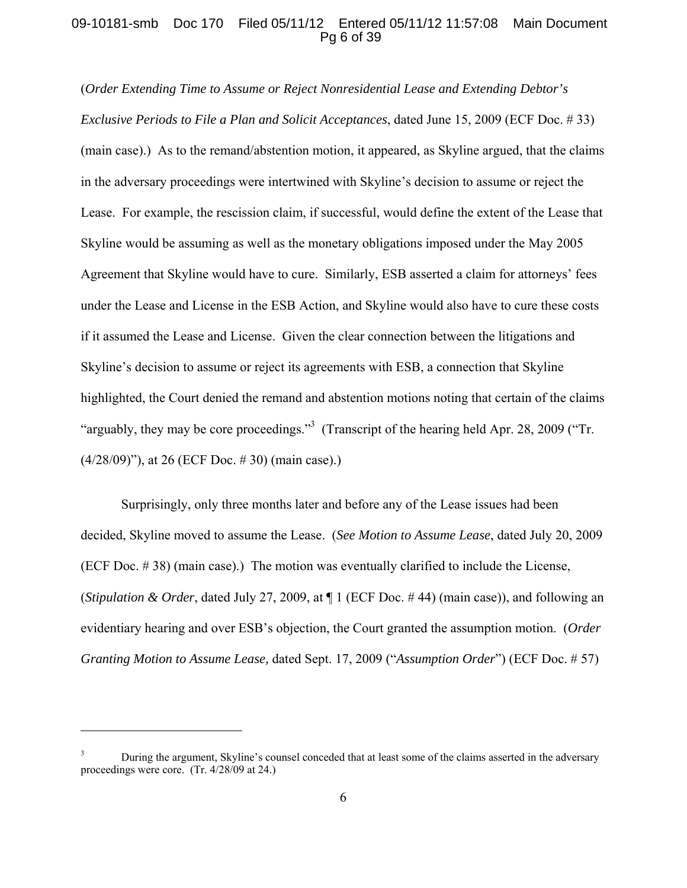## 09-10181-smb Doc 170 Filed 05/11/12 Entered 05/11/12 11:57:08 Main Document Pg 6 of 39

(*Order Extending Time to Assume or Reject Nonresidential Lease and Extending Debtor's Exclusive Periods to File a Plan and Solicit Acceptances*, dated June 15, 2009 (ECF Doc. # 33) (main case).) As to the remand/abstention motion, it appeared, as Skyline argued, that the claims in the adversary proceedings were intertwined with Skyline's decision to assume or reject the Lease. For example, the rescission claim, if successful, would define the extent of the Lease that Skyline would be assuming as well as the monetary obligations imposed under the May 2005 Agreement that Skyline would have to cure. Similarly, ESB asserted a claim for attorneys' fees under the Lease and License in the ESB Action, and Skyline would also have to cure these costs if it assumed the Lease and License. Given the clear connection between the litigations and Skyline's decision to assume or reject its agreements with ESB, a connection that Skyline highlighted, the Court denied the remand and abstention motions noting that certain of the claims "arguably, they may be core proceedings."<sup>3</sup> (Transcript of the hearing held Apr. 28, 2009 ("Tr. (4/28/09)"), at 26 (ECF Doc. # 30) (main case).)

Surprisingly, only three months later and before any of the Lease issues had been decided, Skyline moved to assume the Lease. (*See Motion to Assume Lease*, dated July 20, 2009 (ECF Doc. # 38) (main case).) The motion was eventually clarified to include the License, (*Stipulation & Order*, dated July 27, 2009, at ¶ 1 (ECF Doc. # 44) (main case)), and following an evidentiary hearing and over ESB's objection, the Court granted the assumption motion. (*Order Granting Motion to Assume Lease,* dated Sept. 17, 2009 ("*Assumption Order*") (ECF Doc. # 57)

<sup>3</sup> During the argument, Skyline's counsel conceded that at least some of the claims asserted in the adversary proceedings were core. (Tr. 4/28/09 at 24.)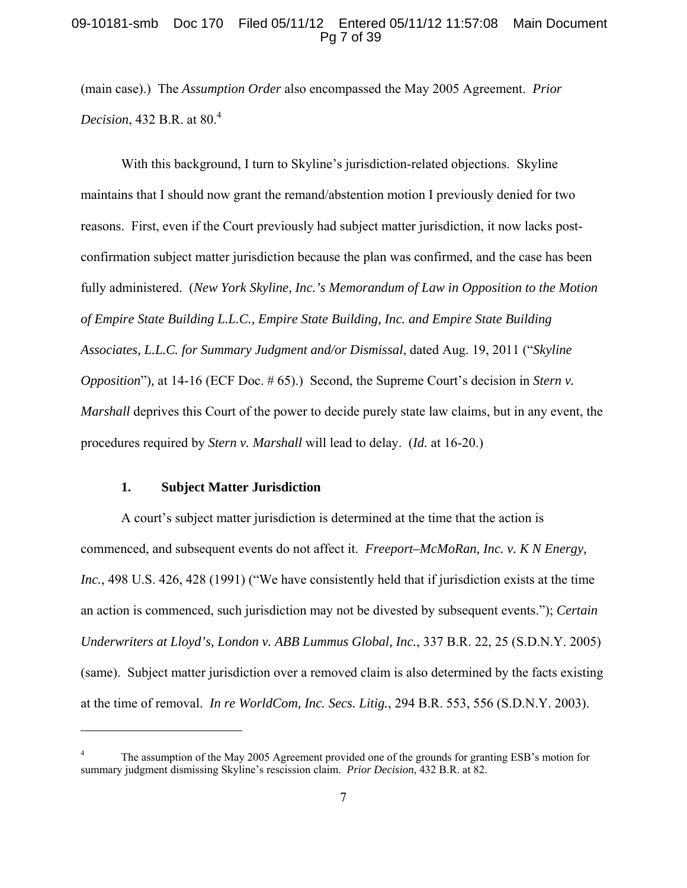## 09-10181-smb Doc 170 Filed 05/11/12 Entered 05/11/12 11:57:08 Main Document Pg 7 of 39

(main case).) The *Assumption Order* also encompassed the May 2005 Agreement. *Prior Decision*, 432 B.R. at 80.<sup>4</sup>

With this background, I turn to Skyline's jurisdiction-related objections. Skyline maintains that I should now grant the remand/abstention motion I previously denied for two reasons. First, even if the Court previously had subject matter jurisdiction, it now lacks postconfirmation subject matter jurisdiction because the plan was confirmed, and the case has been fully administered. (*New York Skyline, Inc.'s Memorandum of Law in Opposition to the Motion of Empire State Building L.L.C., Empire State Building, Inc. and Empire State Building Associates, L.L.C. for Summary Judgment and/or Dismissal*, dated Aug. 19, 2011 ("*Skyline Opposition*")*,* at 14-16 (ECF Doc. # 65).) Second, the Supreme Court's decision in *Stern v. Marshall* deprives this Court of the power to decide purely state law claims, but in any event, the procedures required by *Stern v. Marshall* will lead to delay. (*Id.* at 16-20.)

#### **1. Subject Matter Jurisdiction**

 $\overline{a}$ 

A court's subject matter jurisdiction is determined at the time that the action is commenced, and subsequent events do not affect it. *Freeport–McMoRan, Inc. v. K N Energy, Inc.*, 498 U.S. 426, 428 (1991) ("We have consistently held that if jurisdiction exists at the time an action is commenced, such jurisdiction may not be divested by subsequent events."); *Certain Underwriters at Lloyd's, London v. ABB Lummus Global, Inc.*, 337 B.R. 22, 25 (S.D.N.Y. 2005) (same). Subject matter jurisdiction over a removed claim is also determined by the facts existing at the time of removal. *In re WorldCom, Inc. Secs. Litig.*, 294 B.R. 553, 556 (S.D.N.Y. 2003).

<sup>4</sup> The assumption of the May 2005 Agreement provided one of the grounds for granting ESB's motion for summary judgment dismissing Skyline's rescission claim. *Prior Decision*, 432 B.R. at 82.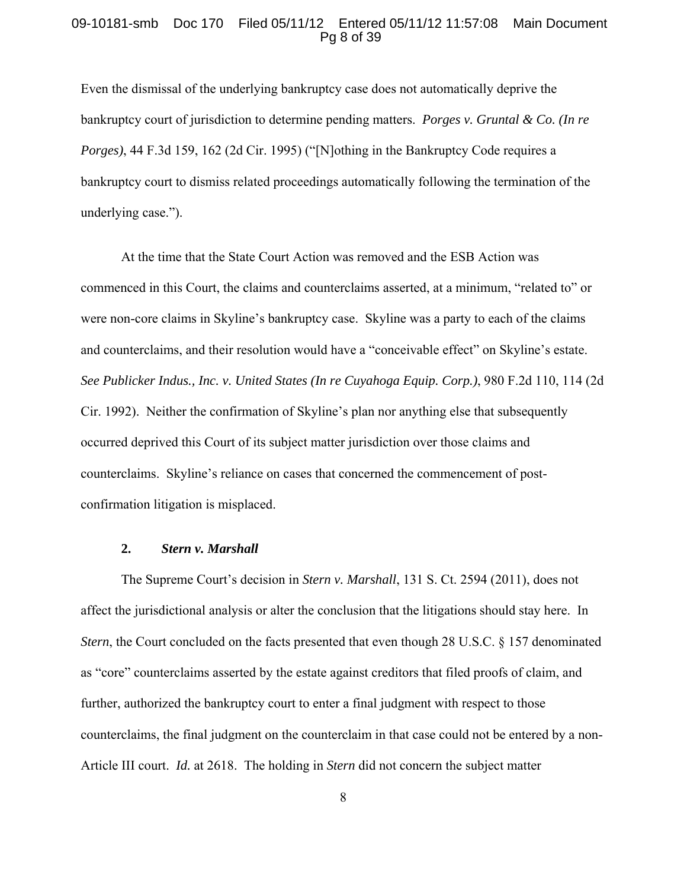#### 09-10181-smb Doc 170 Filed 05/11/12 Entered 05/11/12 11:57:08 Main Document Pg 8 of 39

Even the dismissal of the underlying bankruptcy case does not automatically deprive the bankruptcy court of jurisdiction to determine pending matters. *Porges v. Gruntal & Co. (In re Porges*), 44 F.3d 159, 162 (2d Cir. 1995) ("[N]othing in the Bankruptcy Code requires a bankruptcy court to dismiss related proceedings automatically following the termination of the underlying case.").

At the time that the State Court Action was removed and the ESB Action was commenced in this Court, the claims and counterclaims asserted, at a minimum, "related to" or were non-core claims in Skyline's bankruptcy case. Skyline was a party to each of the claims and counterclaims, and their resolution would have a "conceivable effect" on Skyline's estate. *See Publicker Indus., Inc. v. United States (In re Cuyahoga Equip. Corp.)*, 980 F.2d 110, 114 (2d Cir. 1992). Neither the confirmation of Skyline's plan nor anything else that subsequently occurred deprived this Court of its subject matter jurisdiction over those claims and counterclaims. Skyline's reliance on cases that concerned the commencement of postconfirmation litigation is misplaced.

## **2.** *Stern v. Marshall*

The Supreme Court's decision in *Stern v. Marshall*, 131 S. Ct. 2594 (2011), does not affect the jurisdictional analysis or alter the conclusion that the litigations should stay here. In *Stern*, the Court concluded on the facts presented that even though 28 U.S.C. § 157 denominated as "core" counterclaims asserted by the estate against creditors that filed proofs of claim, and further, authorized the bankruptcy court to enter a final judgment with respect to those counterclaims, the final judgment on the counterclaim in that case could not be entered by a non-Article III court. *Id.* at 2618.The holding in *Stern* did not concern the subject matter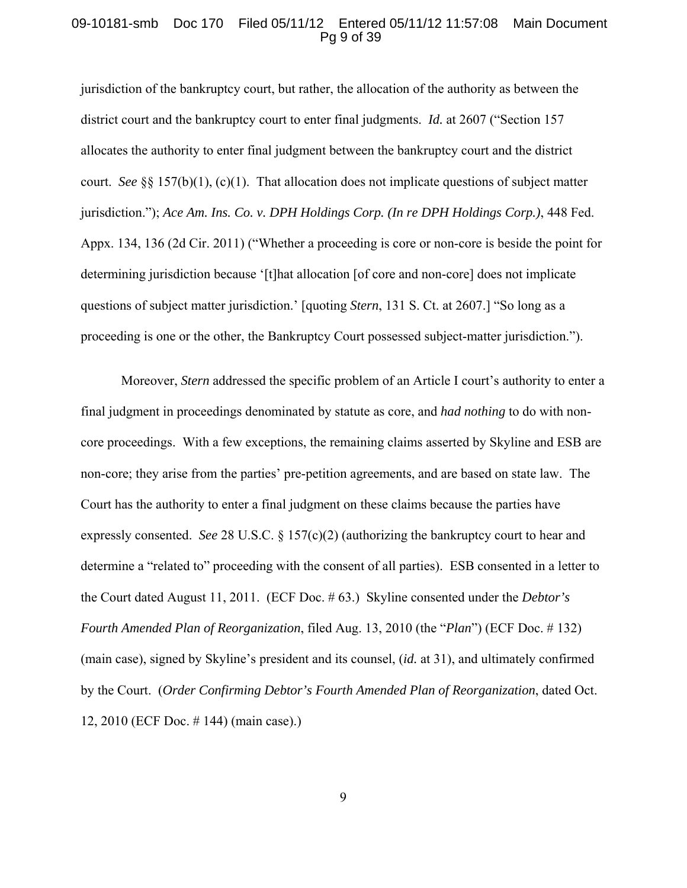#### 09-10181-smb Doc 170 Filed 05/11/12 Entered 05/11/12 11:57:08 Main Document Pg 9 of 39

jurisdiction of the bankruptcy court, but rather, the allocation of the authority as between the district court and the bankruptcy court to enter final judgments. *Id.* at 2607 ("Section 157 allocates the authority to enter final judgment between the bankruptcy court and the district court. *See* §§ 157(b)(1), (c)(1). That allocation does not implicate questions of subject matter jurisdiction."); *Ace Am. Ins. Co. v. DPH Holdings Corp. (In re DPH Holdings Corp.)*, 448 Fed. Appx. 134, 136 (2d Cir. 2011) ("Whether a proceeding is core or non-core is beside the point for determining jurisdiction because '[t]hat allocation [of core and non-core] does not implicate questions of subject matter jurisdiction.' [quoting *Stern*, 131 S. Ct. at 2607.] "So long as a proceeding is one or the other, the Bankruptcy Court possessed subject-matter jurisdiction.").

Moreover, *Stern* addressed the specific problem of an Article I court's authority to enter a final judgment in proceedings denominated by statute as core, and *had nothing* to do with noncore proceedings. With a few exceptions, the remaining claims asserted by Skyline and ESB are non-core; they arise from the parties' pre-petition agreements, and are based on state law. The Court has the authority to enter a final judgment on these claims because the parties have expressly consented. *See* 28 U.S.C. § 157(c)(2) (authorizing the bankruptcy court to hear and determine a "related to" proceeding with the consent of all parties). ESB consented in a letter to the Court dated August 11, 2011. (ECF Doc. # 63.) Skyline consented under the *Debtor's Fourth Amended Plan of Reorganization*, filed Aug. 13, 2010 (the "*Plan*") (ECF Doc. # 132) (main case), signed by Skyline's president and its counsel, (*id.* at 31), and ultimately confirmed by the Court. (*Order Confirming Debtor's Fourth Amended Plan of Reorganization*, dated Oct. 12, 2010 (ECF Doc. # 144) (main case).)

9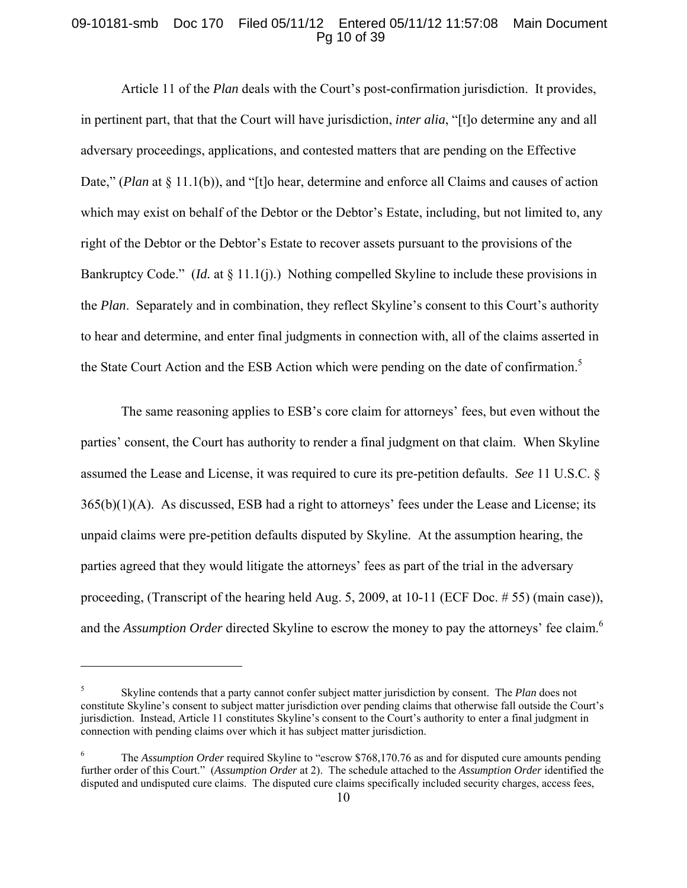## 09-10181-smb Doc 170 Filed 05/11/12 Entered 05/11/12 11:57:08 Main Document Pg 10 of 39

Article 11 of the *Plan* deals with the Court's post-confirmation jurisdiction. It provides, in pertinent part, that that the Court will have jurisdiction, *inter alia*, "[t]o determine any and all adversary proceedings, applications, and contested matters that are pending on the Effective Date," (*Plan* at § 11.1(b)), and "[t]o hear, determine and enforce all Claims and causes of action which may exist on behalf of the Debtor or the Debtor's Estate, including, but not limited to, any right of the Debtor or the Debtor's Estate to recover assets pursuant to the provisions of the Bankruptcy Code." (*Id.* at § 11.1(j).) Nothing compelled Skyline to include these provisions in the *Plan*. Separately and in combination, they reflect Skyline's consent to this Court's authority to hear and determine, and enter final judgments in connection with, all of the claims asserted in the State Court Action and the ESB Action which were pending on the date of confirmation.<sup>5</sup>

The same reasoning applies to ESB's core claim for attorneys' fees, but even without the parties' consent, the Court has authority to render a final judgment on that claim. When Skyline assumed the Lease and License, it was required to cure its pre-petition defaults. *See* 11 U.S.C. § 365(b)(1)(A). As discussed, ESB had a right to attorneys' fees under the Lease and License; its unpaid claims were pre-petition defaults disputed by Skyline. At the assumption hearing, the parties agreed that they would litigate the attorneys' fees as part of the trial in the adversary proceeding, (Transcript of the hearing held Aug. 5, 2009, at 10-11 (ECF Doc. # 55) (main case)), and the *Assumption Order* directed Skyline to escrow the money to pay the attorneys' fee claim.<sup>6</sup>

<sup>5</sup> Skyline contends that a party cannot confer subject matter jurisdiction by consent. The *Plan* does not constitute Skyline's consent to subject matter jurisdiction over pending claims that otherwise fall outside the Court's jurisdiction. Instead, Article 11 constitutes Skyline's consent to the Court's authority to enter a final judgment in connection with pending claims over which it has subject matter jurisdiction.

<sup>6</sup> The *Assumption Order* required Skyline to "escrow \$768,170.76 as and for disputed cure amounts pending further order of this Court." (*Assumption Order* at 2). The schedule attached to the *Assumption Order* identified the disputed and undisputed cure claims. The disputed cure claims specifically included security charges, access fees,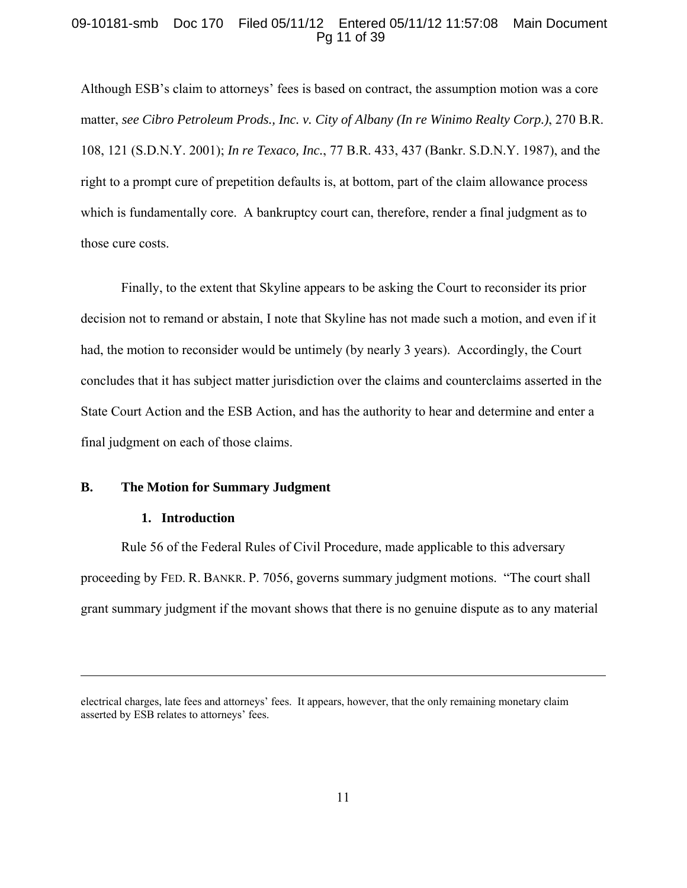## 09-10181-smb Doc 170 Filed 05/11/12 Entered 05/11/12 11:57:08 Main Document Pg 11 of 39

Although ESB's claim to attorneys' fees is based on contract, the assumption motion was a core matter, *see Cibro Petroleum Prods., Inc. v. City of Albany (In re Winimo Realty Corp.)*, 270 B.R. 108, 121 (S.D.N.Y. 2001); *In re Texaco, Inc.*, 77 B.R. 433, 437 (Bankr. S.D.N.Y. 1987), and the right to a prompt cure of prepetition defaults is, at bottom, part of the claim allowance process which is fundamentally core. A bankruptcy court can, therefore, render a final judgment as to those cure costs.

Finally, to the extent that Skyline appears to be asking the Court to reconsider its prior decision not to remand or abstain, I note that Skyline has not made such a motion, and even if it had, the motion to reconsider would be untimely (by nearly 3 years). Accordingly, the Court concludes that it has subject matter jurisdiction over the claims and counterclaims asserted in the State Court Action and the ESB Action, and has the authority to hear and determine and enter a final judgment on each of those claims.

## **B. The Motion for Summary Judgment**

# **1. Introduction**

1

Rule 56 of the Federal Rules of Civil Procedure, made applicable to this adversary proceeding by FED. R. BANKR. P. 7056, governs summary judgment motions. "The court shall grant summary judgment if the movant shows that there is no genuine dispute as to any material

electrical charges, late fees and attorneys' fees. It appears, however, that the only remaining monetary claim asserted by ESB relates to attorneys' fees.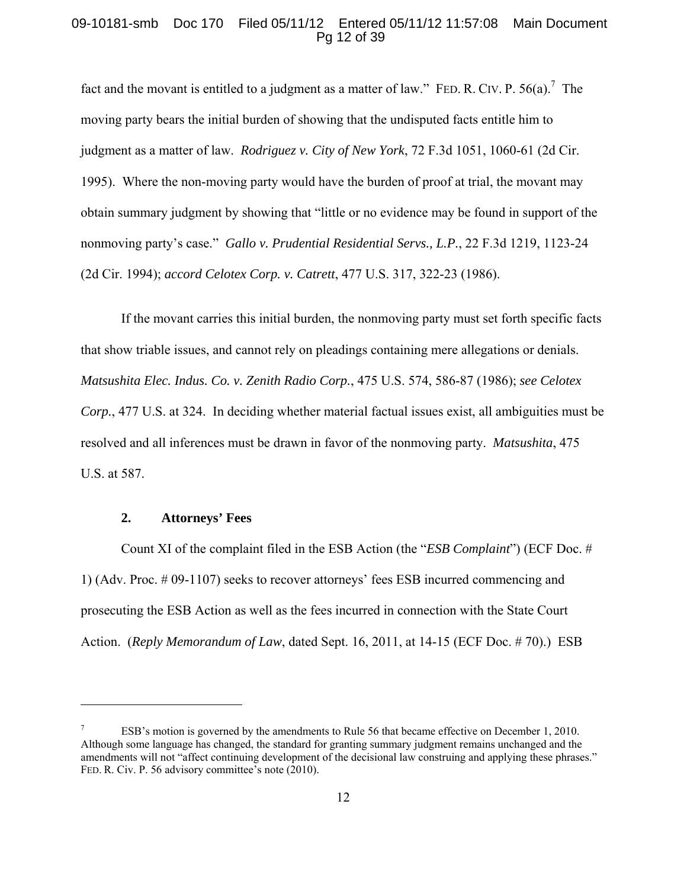## 09-10181-smb Doc 170 Filed 05/11/12 Entered 05/11/12 11:57:08 Main Document Pg 12 of 39

fact and the movant is entitled to a judgment as a matter of law." FED. R. CIV. P.  $56(a)$ . The moving party bears the initial burden of showing that the undisputed facts entitle him to judgment as a matter of law. *Rodriguez v. City of New York*, 72 F.3d 1051, 1060-61 (2d Cir. 1995). Where the non-moving party would have the burden of proof at trial, the movant may obtain summary judgment by showing that "little or no evidence may be found in support of the nonmoving party's case." *Gallo v. Prudential Residential Servs., L.P.*, 22 F.3d 1219, 1123-24 (2d Cir. 1994); *accord Celotex Corp. v. Catrett*, 477 U.S. 317, 322-23 (1986).

If the movant carries this initial burden, the nonmoving party must set forth specific facts that show triable issues, and cannot rely on pleadings containing mere allegations or denials. *Matsushita Elec. Indus. Co. v. Zenith Radio Corp.*, 475 U.S. 574, 586-87 (1986); *see Celotex Corp.*, 477 U.S. at 324. In deciding whether material factual issues exist, all ambiguities must be resolved and all inferences must be drawn in favor of the nonmoving party. *Matsushita*, 475 U.S. at 587.

# **2. Attorneys' Fees**

1

Count XI of the complaint filed in the ESB Action (the "*ESB Complaint*") (ECF Doc. # 1) (Adv. Proc. # 09-1107) seeks to recover attorneys' fees ESB incurred commencing and prosecuting the ESB Action as well as the fees incurred in connection with the State Court Action. (*Reply Memorandum of Law*, dated Sept. 16, 2011, at 14-15 (ECF Doc. # 70).) ESB

<sup>7</sup> ESB's motion is governed by the amendments to Rule 56 that became effective on December 1, 2010. Although some language has changed, the standard for granting summary judgment remains unchanged and the amendments will not "affect continuing development of the decisional law construing and applying these phrases." FED. R. Civ. P. 56 advisory committee's note (2010).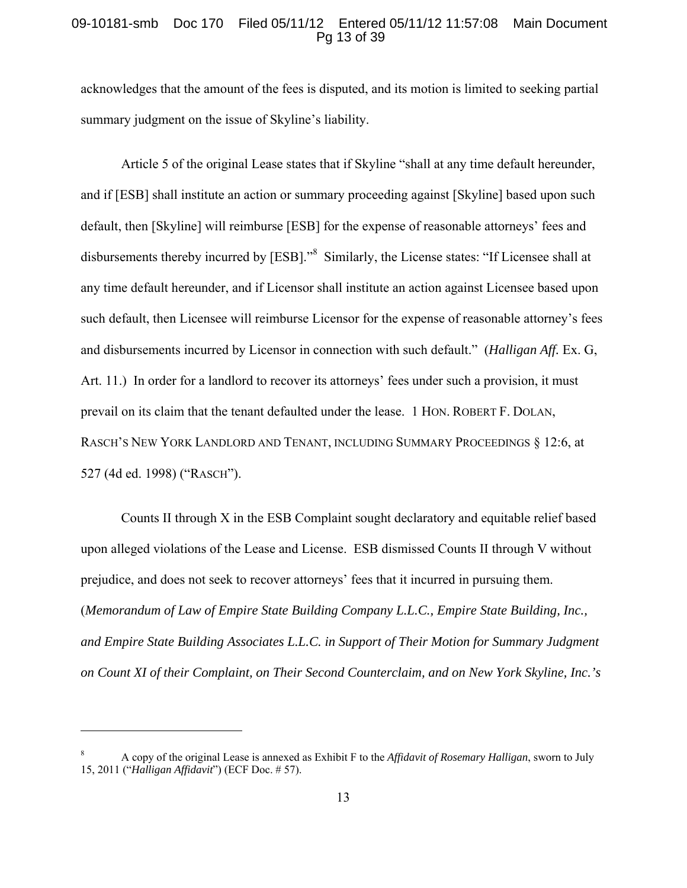## 09-10181-smb Doc 170 Filed 05/11/12 Entered 05/11/12 11:57:08 Main Document Pg 13 of 39

acknowledges that the amount of the fees is disputed, and its motion is limited to seeking partial summary judgment on the issue of Skyline's liability.

Article 5 of the original Lease states that if Skyline "shall at any time default hereunder, and if [ESB] shall institute an action or summary proceeding against [Skyline] based upon such default, then [Skyline] will reimburse [ESB] for the expense of reasonable attorneys' fees and disbursements thereby incurred by [ESB]."<sup>8</sup> Similarly, the License states: "If Licensee shall at any time default hereunder, and if Licensor shall institute an action against Licensee based upon such default, then Licensee will reimburse Licensor for the expense of reasonable attorney's fees and disbursements incurred by Licensor in connection with such default." (*Halligan Aff.* Ex. G, Art. 11.) In order for a landlord to recover its attorneys' fees under such a provision, it must prevail on its claim that the tenant defaulted under the lease. 1 HON. ROBERT F. DOLAN, RASCH'S NEW YORK LANDLORD AND TENANT, INCLUDING SUMMARY PROCEEDINGS § 12:6, at 527 (4d ed. 1998) ("RASCH").

Counts II through X in the ESB Complaint sought declaratory and equitable relief based upon alleged violations of the Lease and License. ESB dismissed Counts II through V without prejudice, and does not seek to recover attorneys' fees that it incurred in pursuing them. (*Memorandum of Law of Empire State Building Company L.L.C., Empire State Building, Inc., and Empire State Building Associates L.L.C. in Support of Their Motion for Summary Judgment on Count XI of their Complaint, on Their Second Counterclaim, and on New York Skyline, Inc.'s* 

<sup>8</sup> A copy of the original Lease is annexed as Exhibit F to the *Affidavit of Rosemary Halligan*, sworn to July 15, 2011 ("*Halligan Affidavit*") (ECF Doc. # 57).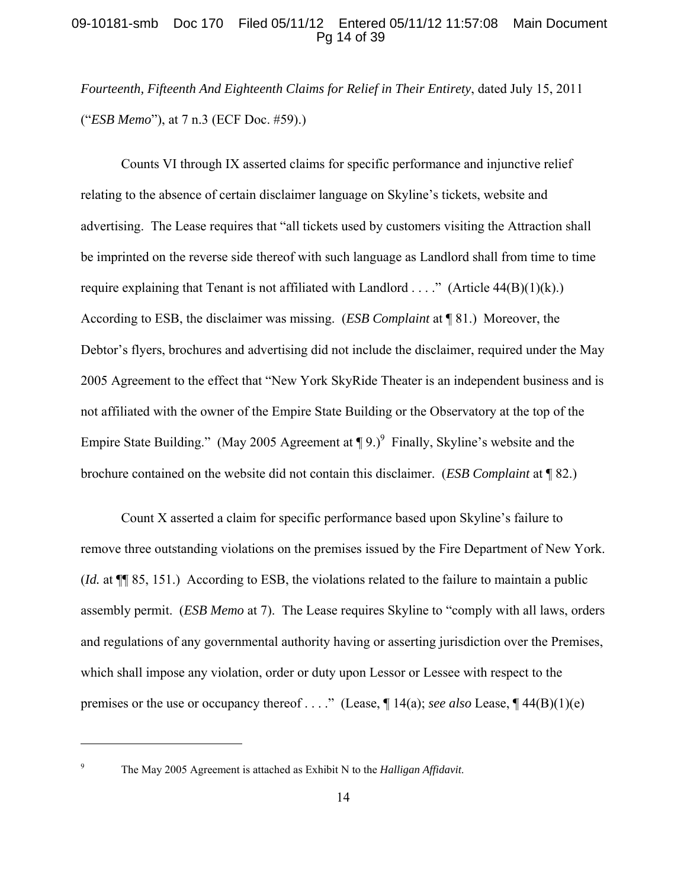# 09-10181-smb Doc 170 Filed 05/11/12 Entered 05/11/12 11:57:08 Main Document Pg 14 of 39

*Fourteenth, Fifteenth And Eighteenth Claims for Relief in Their Entirety*, dated July 15, 2011 ("*ESB Memo*"), at 7 n.3 (ECF Doc. #59).)

Counts VI through IX asserted claims for specific performance and injunctive relief relating to the absence of certain disclaimer language on Skyline's tickets, website and advertising. The Lease requires that "all tickets used by customers visiting the Attraction shall be imprinted on the reverse side thereof with such language as Landlord shall from time to time require explaining that Tenant is not affiliated with Landlord . . . ." (Article  $44(B)(1)(k)$ .) According to ESB, the disclaimer was missing. (*ESB Complaint* at ¶ 81.) Moreover, the Debtor's flyers, brochures and advertising did not include the disclaimer, required under the May 2005 Agreement to the effect that "New York SkyRide Theater is an independent business and is not affiliated with the owner of the Empire State Building or the Observatory at the top of the Empire State Building." (May 2005 Agreement at  $\P$  9.)<sup>9</sup> Finally, Skyline's website and the brochure contained on the website did not contain this disclaimer. (*ESB Complaint* at ¶ 82.)

Count X asserted a claim for specific performance based upon Skyline's failure to remove three outstanding violations on the premises issued by the Fire Department of New York. (*Id.* at ¶¶ 85, 151.) According to ESB, the violations related to the failure to maintain a public assembly permit. (*ESB Memo* at 7). The Lease requires Skyline to "comply with all laws, orders and regulations of any governmental authority having or asserting jurisdiction over the Premises, which shall impose any violation, order or duty upon Lessor or Lessee with respect to the premises or the use or occupancy thereof . . . ." (Lease, ¶ 14(a); *see also* Lease, ¶ 44(B)(1)(e)

<sup>9</sup>

The May 2005 Agreement is attached as Exhibit N to the *Halligan Affidavit*.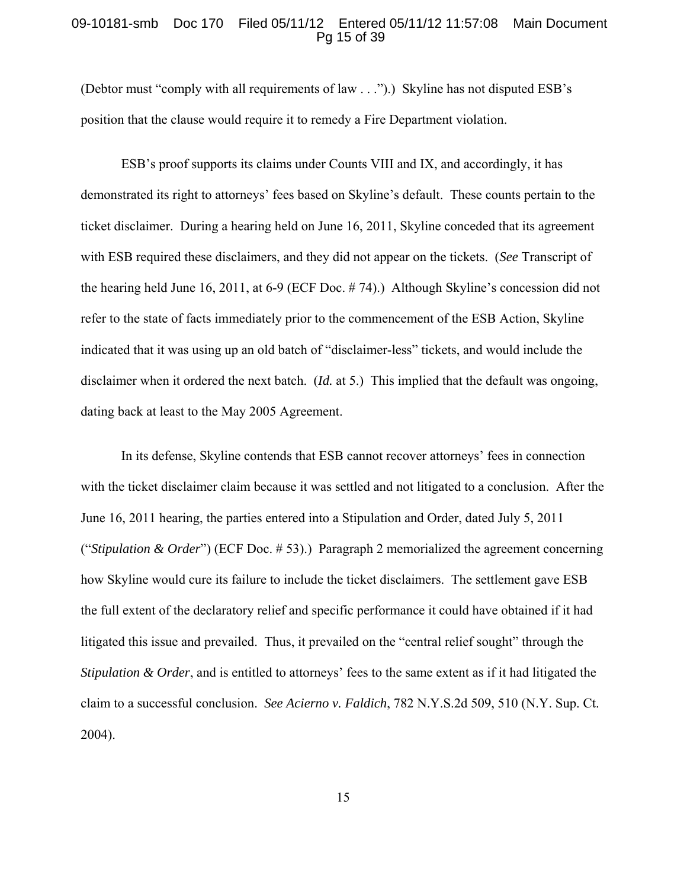### 09-10181-smb Doc 170 Filed 05/11/12 Entered 05/11/12 11:57:08 Main Document Pg 15 of 39

(Debtor must "comply with all requirements of law . . .").) Skyline has not disputed ESB's position that the clause would require it to remedy a Fire Department violation.

ESB's proof supports its claims under Counts VIII and IX, and accordingly, it has demonstrated its right to attorneys' fees based on Skyline's default. These counts pertain to the ticket disclaimer. During a hearing held on June 16, 2011, Skyline conceded that its agreement with ESB required these disclaimers, and they did not appear on the tickets. (*See* Transcript of the hearing held June 16, 2011, at 6-9 (ECF Doc. # 74).) Although Skyline's concession did not refer to the state of facts immediately prior to the commencement of the ESB Action, Skyline indicated that it was using up an old batch of "disclaimer-less" tickets, and would include the disclaimer when it ordered the next batch. (*Id.* at 5.) This implied that the default was ongoing, dating back at least to the May 2005 Agreement.

In its defense, Skyline contends that ESB cannot recover attorneys' fees in connection with the ticket disclaimer claim because it was settled and not litigated to a conclusion. After the June 16, 2011 hearing, the parties entered into a Stipulation and Order, dated July 5, 2011 ("*Stipulation & Order*") (ECF Doc. # 53).) Paragraph 2 memorialized the agreement concerning how Skyline would cure its failure to include the ticket disclaimers. The settlement gave ESB the full extent of the declaratory relief and specific performance it could have obtained if it had litigated this issue and prevailed. Thus, it prevailed on the "central relief sought" through the *Stipulation & Order*, and is entitled to attorneys' fees to the same extent as if it had litigated the claim to a successful conclusion. *See Acierno v. Faldich*, 782 N.Y.S.2d 509, 510 (N.Y. Sup. Ct. 2004).

15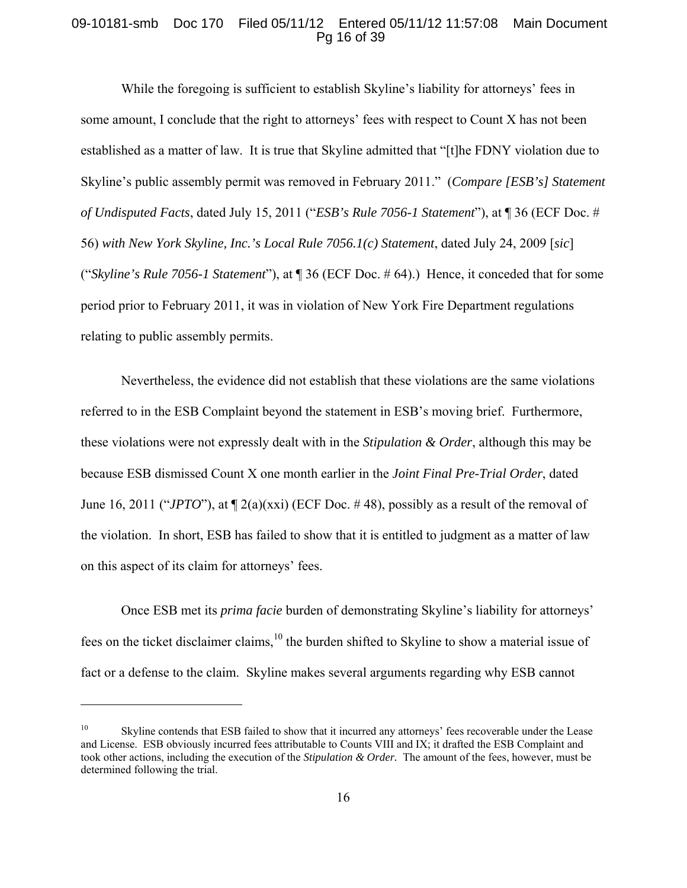## 09-10181-smb Doc 170 Filed 05/11/12 Entered 05/11/12 11:57:08 Main Document Pg 16 of 39

While the foregoing is sufficient to establish Skyline's liability for attorneys' fees in some amount, I conclude that the right to attorneys' fees with respect to Count X has not been established as a matter of law. It is true that Skyline admitted that "[t]he FDNY violation due to Skyline's public assembly permit was removed in February 2011." (*Compare [ESB's] Statement of Undisputed Facts*, dated July 15, 2011 ("*ESB's Rule 7056-1 Statement*"), at ¶ 36 (ECF Doc. # 56) *with New York Skyline, Inc.'s Local Rule 7056.1(c) Statement*, dated July 24, 2009 [*sic*] ("*Skyline's Rule 7056-1 Statement*"), at ¶ 36 (ECF Doc. # 64).) Hence, it conceded that for some period prior to February 2011, it was in violation of New York Fire Department regulations relating to public assembly permits.

Nevertheless, the evidence did not establish that these violations are the same violations referred to in the ESB Complaint beyond the statement in ESB's moving brief. Furthermore, these violations were not expressly dealt with in the *Stipulation & Order*, although this may be because ESB dismissed Count X one month earlier in the *Joint Final Pre-Trial Order*, dated June 16, 2011 ("*JPTO*"), at ¶ 2(a)(xxi) (ECF Doc. # 48), possibly as a result of the removal of the violation. In short, ESB has failed to show that it is entitled to judgment as a matter of law on this aspect of its claim for attorneys' fees.

Once ESB met its *prima facie* burden of demonstrating Skyline's liability for attorneys' fees on the ticket disclaimer claims,<sup>10</sup> the burden shifted to Skyline to show a material issue of fact or a defense to the claim. Skyline makes several arguments regarding why ESB cannot

Skyline contends that ESB failed to show that it incurred any attorneys' fees recoverable under the Lease and License. ESB obviously incurred fees attributable to Counts VIII and IX; it drafted the ESB Complaint and took other actions, including the execution of the *Stipulation & Order.* The amount of the fees, however, must be determined following the trial.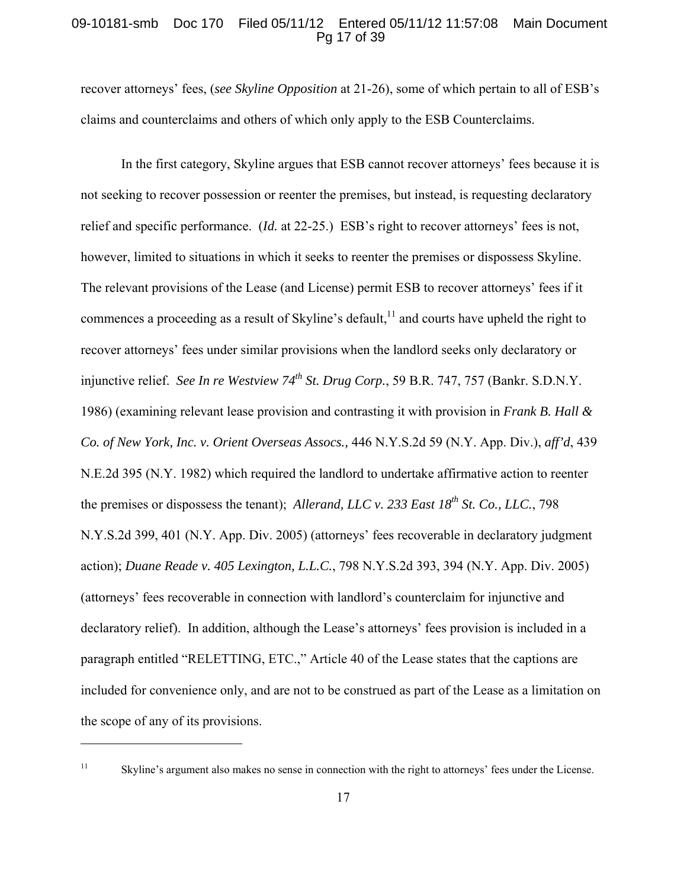## 09-10181-smb Doc 170 Filed 05/11/12 Entered 05/11/12 11:57:08 Main Document Pg 17 of 39

recover attorneys' fees, (*see Skyline Opposition* at 21-26), some of which pertain to all of ESB's claims and counterclaims and others of which only apply to the ESB Counterclaims.

In the first category, Skyline argues that ESB cannot recover attorneys' fees because it is not seeking to recover possession or reenter the premises, but instead, is requesting declaratory relief and specific performance. (*Id.* at 22-25.) ESB's right to recover attorneys' fees is not, however, limited to situations in which it seeks to reenter the premises or dispossess Skyline. The relevant provisions of the Lease (and License) permit ESB to recover attorneys' fees if it commences a proceeding as a result of Skyline's default,  $\frac{11}{11}$  and courts have upheld the right to recover attorneys' fees under similar provisions when the landlord seeks only declaratory or injunctive relief. *See In re Westview 74th St. Drug Corp.*, 59 B.R. 747, 757 (Bankr. S.D.N.Y. 1986) (examining relevant lease provision and contrasting it with provision in *Frank B. Hall & Co. of New York, Inc. v. Orient Overseas Assocs.,* 446 N.Y.S.2d 59 (N.Y. App. Div.), *aff'd*, 439 N.E.2d 395 (N.Y. 1982) which required the landlord to undertake affirmative action to reenter the premises or dispossess the tenant); *Allerand, LLC v. 233 East 18<sup>th</sup> St. Co., LLC.*, 798 N.Y.S.2d 399, 401 (N.Y. App. Div. 2005) (attorneys' fees recoverable in declaratory judgment action); *Duane Reade v. 405 Lexington, L.L.C.*, 798 N.Y.S.2d 393, 394 (N.Y. App. Div. 2005) (attorneys' fees recoverable in connection with landlord's counterclaim for injunctive and declaratory relief). In addition, although the Lease's attorneys' fees provision is included in a paragraph entitled "RELETTING, ETC.," Article 40 of the Lease states that the captions are included for convenience only, and are not to be construed as part of the Lease as a limitation on the scope of any of its provisions.

<sup>&</sup>lt;sup>11</sup> Skyline's argument also makes no sense in connection with the right to attorneys' fees under the License.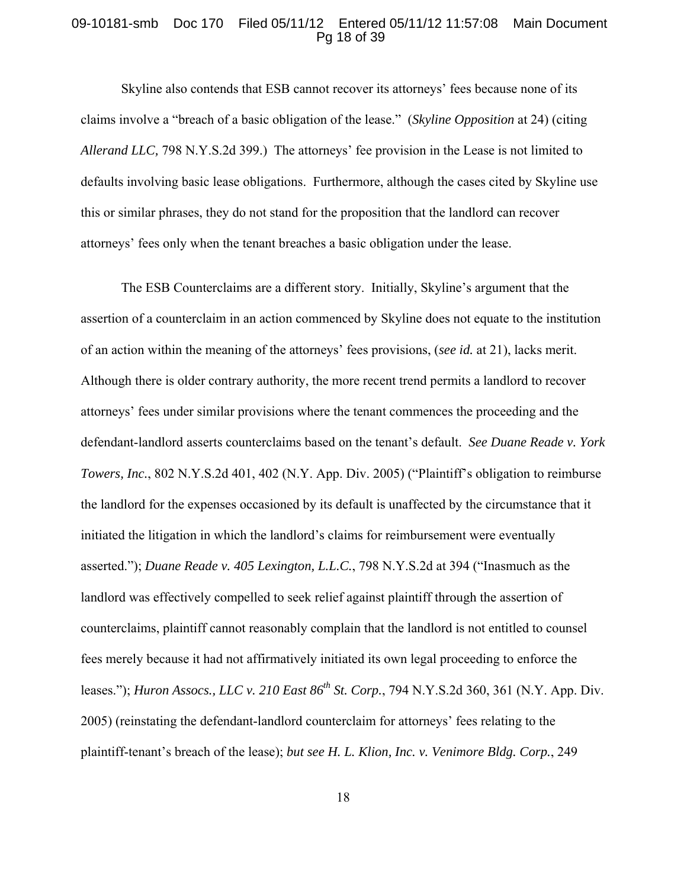## 09-10181-smb Doc 170 Filed 05/11/12 Entered 05/11/12 11:57:08 Main Document Pg 18 of 39

Skyline also contends that ESB cannot recover its attorneys' fees because none of its claims involve a "breach of a basic obligation of the lease." (*Skyline Opposition* at 24) (citing *Allerand LLC,* 798 N.Y.S.2d 399.) The attorneys' fee provision in the Lease is not limited to defaults involving basic lease obligations. Furthermore, although the cases cited by Skyline use this or similar phrases, they do not stand for the proposition that the landlord can recover attorneys' fees only when the tenant breaches a basic obligation under the lease.

The ESB Counterclaims are a different story. Initially, Skyline's argument that the assertion of a counterclaim in an action commenced by Skyline does not equate to the institution of an action within the meaning of the attorneys' fees provisions, (*see id.* at 21), lacks merit. Although there is older contrary authority, the more recent trend permits a landlord to recover attorneys' fees under similar provisions where the tenant commences the proceeding and the defendant-landlord asserts counterclaims based on the tenant's default. *See Duane Reade v. York Towers, Inc.*, 802 N.Y.S.2d 401, 402 (N.Y. App. Div. 2005) ("Plaintiff's obligation to reimburse the landlord for the expenses occasioned by its default is unaffected by the circumstance that it initiated the litigation in which the landlord's claims for reimbursement were eventually asserted."); *Duane Reade v. 405 Lexington, L.L.C.*, 798 N.Y.S.2d at 394 ("Inasmuch as the landlord was effectively compelled to seek relief against plaintiff through the assertion of counterclaims, plaintiff cannot reasonably complain that the landlord is not entitled to counsel fees merely because it had not affirmatively initiated its own legal proceeding to enforce the leases."); *Huron Assocs., LLC v. 210 East 86th St. Corp.*, 794 N.Y.S.2d 360, 361 (N.Y. App. Div. 2005) (reinstating the defendant-landlord counterclaim for attorneys' fees relating to the plaintiff-tenant's breach of the lease); *but see H. L. Klion, Inc. v. Venimore Bldg. Corp.*, 249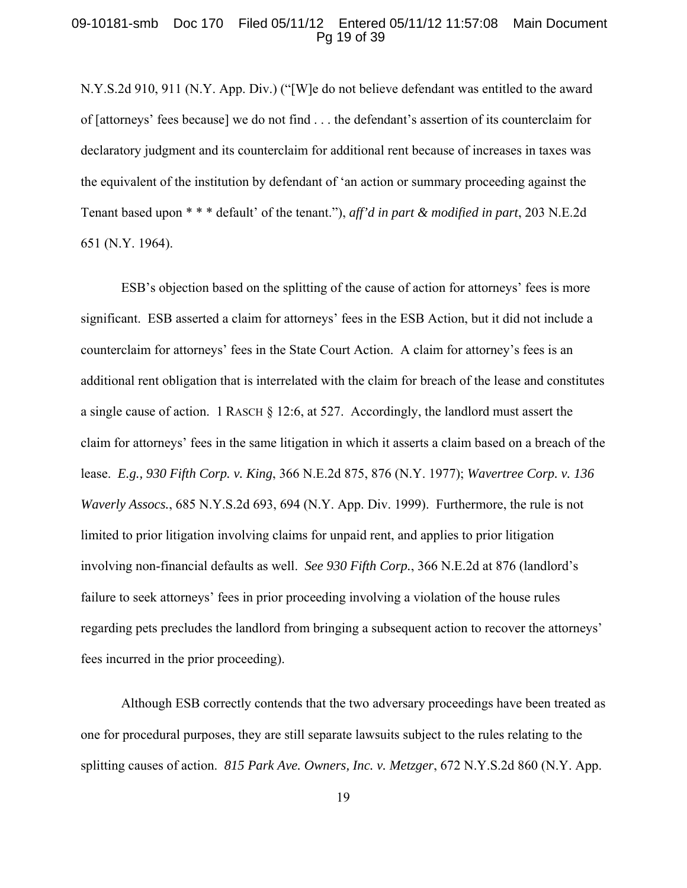## 09-10181-smb Doc 170 Filed 05/11/12 Entered 05/11/12 11:57:08 Main Document Pg 19 of 39

N.Y.S.2d 910, 911 (N.Y. App. Div.) ("[W]e do not believe defendant was entitled to the award of [attorneys' fees because] we do not find . . . the defendant's assertion of its counterclaim for declaratory judgment and its counterclaim for additional rent because of increases in taxes was the equivalent of the institution by defendant of 'an action or summary proceeding against the Tenant based upon \* \* \* default' of the tenant."), *aff'd in part & modified in part*, 203 N.E.2d 651 (N.Y. 1964).

ESB's objection based on the splitting of the cause of action for attorneys' fees is more significant. ESB asserted a claim for attorneys' fees in the ESB Action, but it did not include a counterclaim for attorneys' fees in the State Court Action. A claim for attorney's fees is an additional rent obligation that is interrelated with the claim for breach of the lease and constitutes a single cause of action. 1 RASCH § 12:6, at 527. Accordingly, the landlord must assert the claim for attorneys' fees in the same litigation in which it asserts a claim based on a breach of the lease. *E.g., 930 Fifth Corp. v. King*, 366 N.E.2d 875, 876 (N.Y. 1977); *Wavertree Corp. v. 136 Waverly Assocs.*, 685 N.Y.S.2d 693, 694 (N.Y. App. Div. 1999). Furthermore, the rule is not limited to prior litigation involving claims for unpaid rent, and applies to prior litigation involving non-financial defaults as well. *See 930 Fifth Corp.*, 366 N.E.2d at 876 (landlord's failure to seek attorneys' fees in prior proceeding involving a violation of the house rules regarding pets precludes the landlord from bringing a subsequent action to recover the attorneys' fees incurred in the prior proceeding).

Although ESB correctly contends that the two adversary proceedings have been treated as one for procedural purposes, they are still separate lawsuits subject to the rules relating to the splitting causes of action. *815 Park Ave. Owners, Inc. v. Metzger*, 672 N.Y.S.2d 860 (N.Y. App.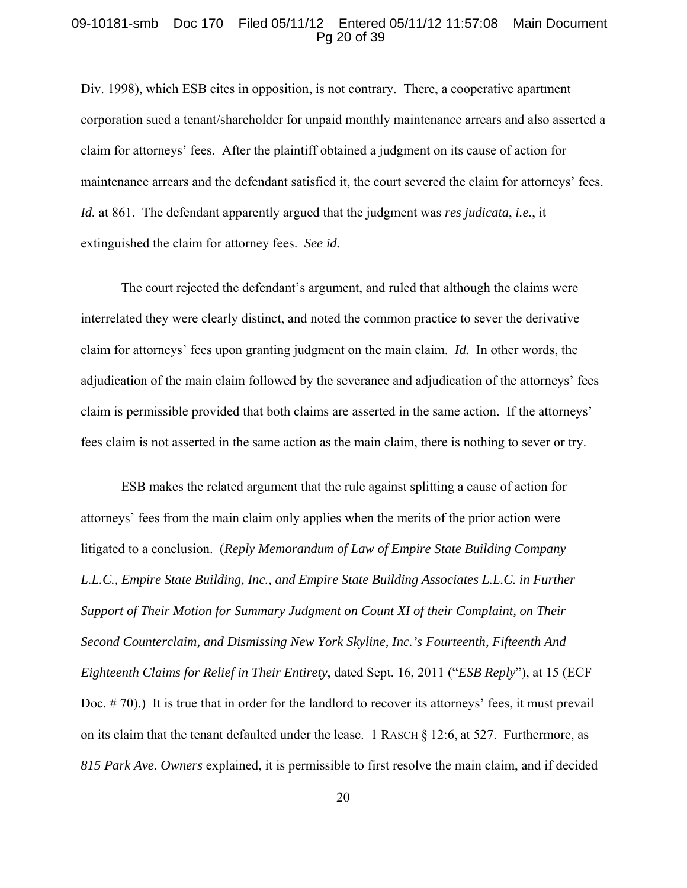#### 09-10181-smb Doc 170 Filed 05/11/12 Entered 05/11/12 11:57:08 Main Document Pg 20 of 39

Div. 1998), which ESB cites in opposition, is not contrary. There, a cooperative apartment corporation sued a tenant/shareholder for unpaid monthly maintenance arrears and also asserted a claim for attorneys' fees. After the plaintiff obtained a judgment on its cause of action for maintenance arrears and the defendant satisfied it, the court severed the claim for attorneys' fees. *Id.* at 861. The defendant apparently argued that the judgment was *res judicata*, *i.e.*, it extinguished the claim for attorney fees. *See id.*

The court rejected the defendant's argument, and ruled that although the claims were interrelated they were clearly distinct, and noted the common practice to sever the derivative claim for attorneys' fees upon granting judgment on the main claim. *Id.* In other words, the adjudication of the main claim followed by the severance and adjudication of the attorneys' fees claim is permissible provided that both claims are asserted in the same action. If the attorneys' fees claim is not asserted in the same action as the main claim, there is nothing to sever or try.

ESB makes the related argument that the rule against splitting a cause of action for attorneys' fees from the main claim only applies when the merits of the prior action were litigated to a conclusion. (*Reply Memorandum of Law of Empire State Building Company*  L.L.C., Empire State Building, Inc., and Empire State Building Associates L.L.C. in Further *Support of Their Motion for Summary Judgment on Count XI of their Complaint, on Their Second Counterclaim, and Dismissing New York Skyline, Inc.'s Fourteenth, Fifteenth And Eighteenth Claims for Relief in Their Entirety*, dated Sept. 16, 2011 ("*ESB Reply*"), at 15 (ECF Doc. #70).) It is true that in order for the landlord to recover its attorneys' fees, it must prevail on its claim that the tenant defaulted under the lease. 1 RASCH § 12:6, at 527. Furthermore, as *815 Park Ave. Owners* explained, it is permissible to first resolve the main claim, and if decided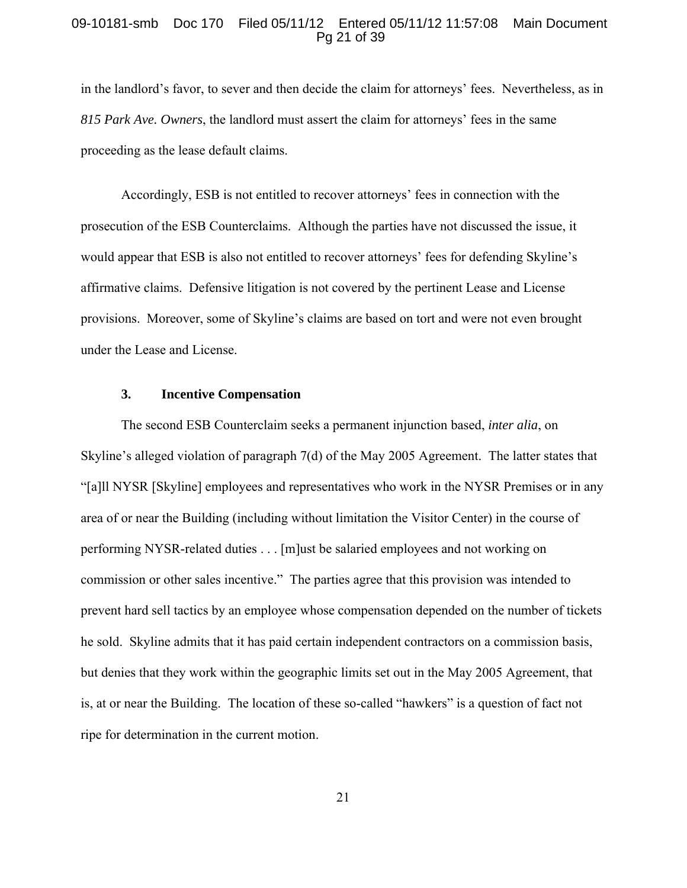### 09-10181-smb Doc 170 Filed 05/11/12 Entered 05/11/12 11:57:08 Main Document Pg 21 of 39

in the landlord's favor, to sever and then decide the claim for attorneys' fees. Nevertheless, as in *815 Park Ave. Owners*, the landlord must assert the claim for attorneys' fees in the same proceeding as the lease default claims.

Accordingly, ESB is not entitled to recover attorneys' fees in connection with the prosecution of the ESB Counterclaims. Although the parties have not discussed the issue, it would appear that ESB is also not entitled to recover attorneys' fees for defending Skyline's affirmative claims. Defensive litigation is not covered by the pertinent Lease and License provisions. Moreover, some of Skyline's claims are based on tort and were not even brought under the Lease and License.

### **3. Incentive Compensation**

The second ESB Counterclaim seeks a permanent injunction based, *inter alia*, on Skyline's alleged violation of paragraph 7(d) of the May 2005 Agreement. The latter states that "[a]ll NYSR [Skyline] employees and representatives who work in the NYSR Premises or in any area of or near the Building (including without limitation the Visitor Center) in the course of performing NYSR-related duties . . . [m]ust be salaried employees and not working on commission or other sales incentive." The parties agree that this provision was intended to prevent hard sell tactics by an employee whose compensation depended on the number of tickets he sold. Skyline admits that it has paid certain independent contractors on a commission basis, but denies that they work within the geographic limits set out in the May 2005 Agreement, that is, at or near the Building. The location of these so-called "hawkers" is a question of fact not ripe for determination in the current motion.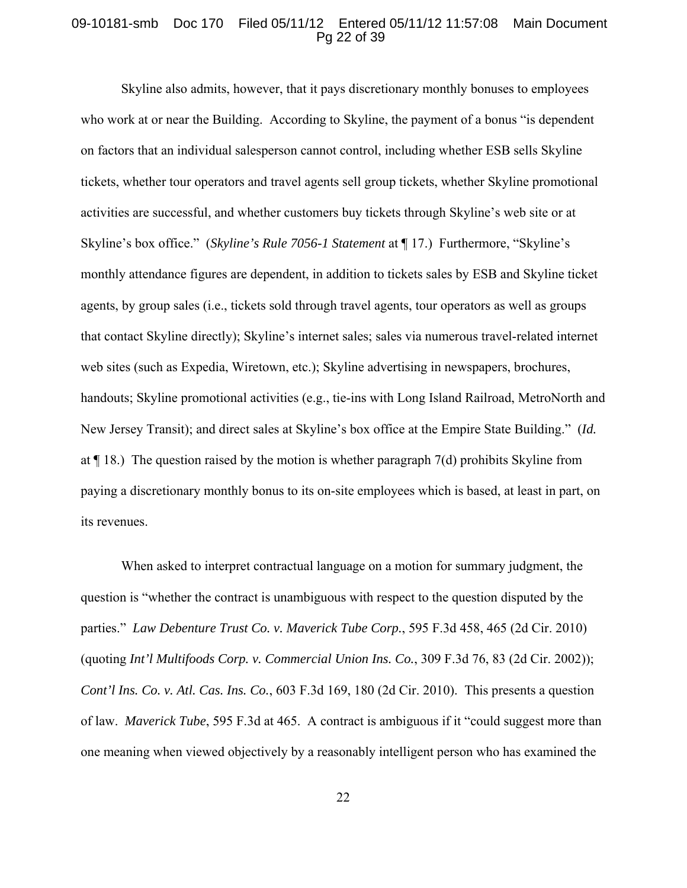### 09-10181-smb Doc 170 Filed 05/11/12 Entered 05/11/12 11:57:08 Main Document Pg 22 of 39

Skyline also admits, however, that it pays discretionary monthly bonuses to employees who work at or near the Building. According to Skyline, the payment of a bonus "is dependent on factors that an individual salesperson cannot control, including whether ESB sells Skyline tickets, whether tour operators and travel agents sell group tickets, whether Skyline promotional activities are successful, and whether customers buy tickets through Skyline's web site or at Skyline's box office." (*Skyline's Rule 7056-1 Statement* at ¶ 17.) Furthermore, "Skyline's monthly attendance figures are dependent, in addition to tickets sales by ESB and Skyline ticket agents, by group sales (i.e., tickets sold through travel agents, tour operators as well as groups that contact Skyline directly); Skyline's internet sales; sales via numerous travel-related internet web sites (such as Expedia, Wiretown, etc.); Skyline advertising in newspapers, brochures, handouts; Skyline promotional activities (e.g., tie-ins with Long Island Railroad, MetroNorth and New Jersey Transit); and direct sales at Skyline's box office at the Empire State Building." (*Id.* at  $\P$  18.) The question raised by the motion is whether paragraph 7(d) prohibits Skyline from paying a discretionary monthly bonus to its on-site employees which is based, at least in part, on its revenues.

When asked to interpret contractual language on a motion for summary judgment, the question is "whether the contract is unambiguous with respect to the question disputed by the parties." *Law Debenture Trust Co. v. Maverick Tube Corp.*, 595 F.3d 458, 465 (2d Cir. 2010) (quoting *Int'l Multifoods Corp. v. Commercial Union Ins. Co.*, 309 F.3d 76, 83 (2d Cir. 2002)); *Cont'l Ins. Co. v. Atl. Cas. Ins. Co.*, 603 F.3d 169, 180 (2d Cir. 2010). This presents a question of law. *Maverick Tube*, 595 F.3d at 465. A contract is ambiguous if it "could suggest more than one meaning when viewed objectively by a reasonably intelligent person who has examined the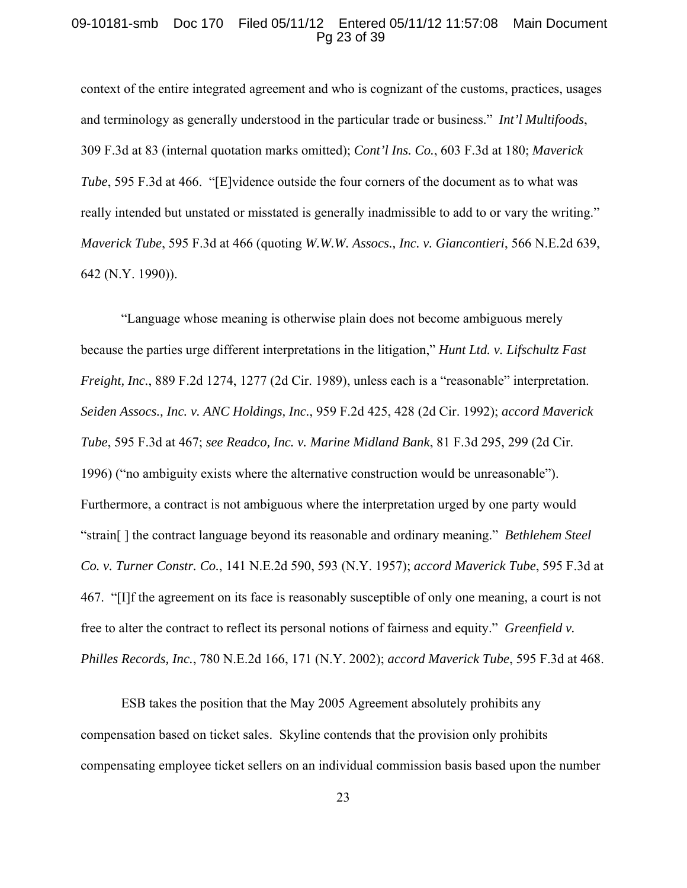### 09-10181-smb Doc 170 Filed 05/11/12 Entered 05/11/12 11:57:08 Main Document Pg 23 of 39

context of the entire integrated agreement and who is cognizant of the customs, practices, usages and terminology as generally understood in the particular trade or business." *Int'l Multifoods*, 309 F.3d at 83 (internal quotation marks omitted); *Cont'l Ins. Co.*, 603 F.3d at 180; *Maverick Tube*, 595 F.3d at 466. "[E]vidence outside the four corners of the document as to what was really intended but unstated or misstated is generally inadmissible to add to or vary the writing." *Maverick Tube*, 595 F.3d at 466 (quoting *W.W.W. Assocs., Inc. v. Giancontieri*, 566 N.E.2d 639, 642 (N.Y. 1990)).

"Language whose meaning is otherwise plain does not become ambiguous merely because the parties urge different interpretations in the litigation," *Hunt Ltd. v. Lifschultz Fast Freight, Inc.*, 889 F.2d 1274, 1277 (2d Cir. 1989), unless each is a "reasonable" interpretation. *Seiden Assocs., Inc. v. ANC Holdings, Inc.*, 959 F.2d 425, 428 (2d Cir. 1992); *accord Maverick Tube*, 595 F.3d at 467; *see Readco, Inc. v. Marine Midland Bank*, 81 F.3d 295, 299 (2d Cir. 1996) ("no ambiguity exists where the alternative construction would be unreasonable"). Furthermore, a contract is not ambiguous where the interpretation urged by one party would "strain[ ] the contract language beyond its reasonable and ordinary meaning." *Bethlehem Steel Co. v. Turner Constr. Co.*, 141 N.E.2d 590, 593 (N.Y. 1957); *accord Maverick Tube*, 595 F.3d at 467. "[I]f the agreement on its face is reasonably susceptible of only one meaning, a court is not free to alter the contract to reflect its personal notions of fairness and equity." *Greenfield v. Philles Records, Inc.*, 780 N.E.2d 166, 171 (N.Y. 2002); *accord Maverick Tube*, 595 F.3d at 468.

ESB takes the position that the May 2005 Agreement absolutely prohibits any compensation based on ticket sales. Skyline contends that the provision only prohibits compensating employee ticket sellers on an individual commission basis based upon the number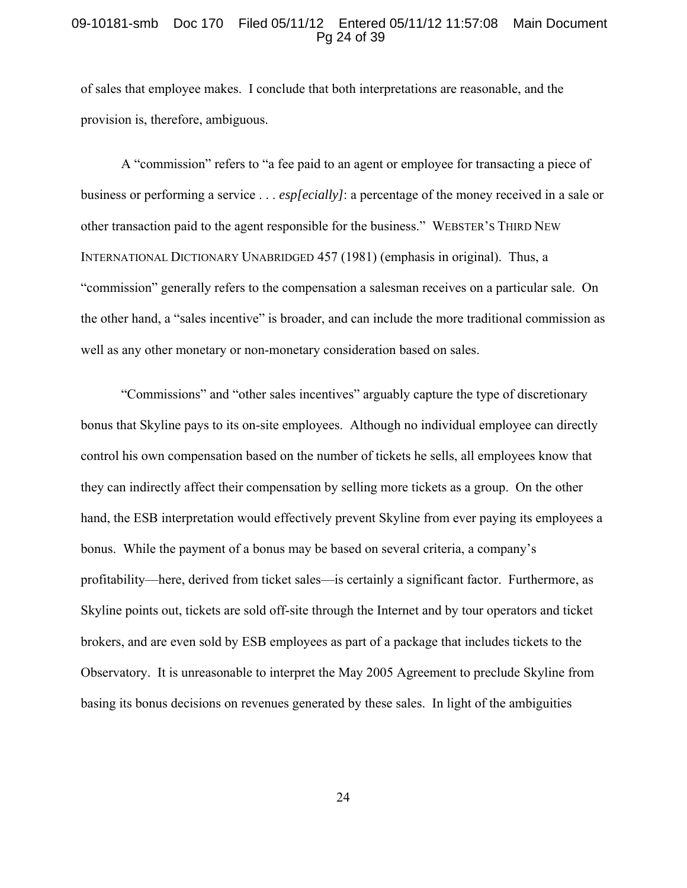### 09-10181-smb Doc 170 Filed 05/11/12 Entered 05/11/12 11:57:08 Main Document Pg 24 of 39

of sales that employee makes. I conclude that both interpretations are reasonable, and the provision is, therefore, ambiguous.

A "commission" refers to "a fee paid to an agent or employee for transacting a piece of business or performing a service . . . *esp[ecially]*: a percentage of the money received in a sale or other transaction paid to the agent responsible for the business." WEBSTER'S THIRD NEW INTERNATIONAL DICTIONARY UNABRIDGED 457 (1981) (emphasis in original). Thus, a "commission" generally refers to the compensation a salesman receives on a particular sale. On the other hand, a "sales incentive" is broader, and can include the more traditional commission as well as any other monetary or non-monetary consideration based on sales.

"Commissions" and "other sales incentives" arguably capture the type of discretionary bonus that Skyline pays to its on-site employees. Although no individual employee can directly control his own compensation based on the number of tickets he sells, all employees know that they can indirectly affect their compensation by selling more tickets as a group. On the other hand, the ESB interpretation would effectively prevent Skyline from ever paying its employees a bonus. While the payment of a bonus may be based on several criteria, a company's profitability—here, derived from ticket sales—is certainly a significant factor. Furthermore, as Skyline points out, tickets are sold off-site through the Internet and by tour operators and ticket brokers, and are even sold by ESB employees as part of a package that includes tickets to the Observatory. It is unreasonable to interpret the May 2005 Agreement to preclude Skyline from basing its bonus decisions on revenues generated by these sales. In light of the ambiguities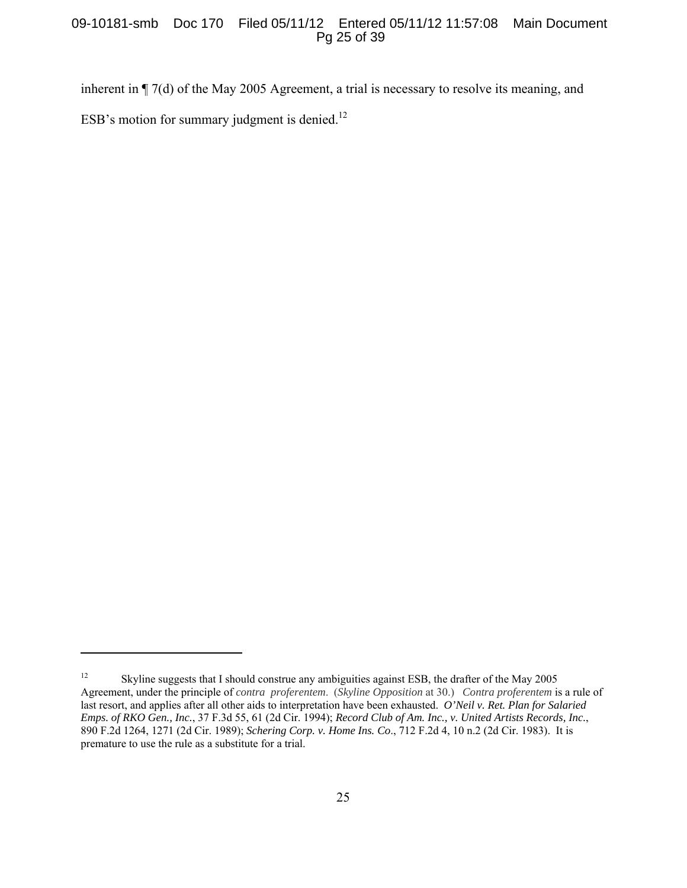## 09-10181-smb Doc 170 Filed 05/11/12 Entered 05/11/12 11:57:08 Main Document Pg 25 of 39

inherent in ¶ 7(d) of the May 2005 Agreement, a trial is necessary to resolve its meaning, and ESB's motion for summary judgment is denied.<sup>12</sup>

<sup>&</sup>lt;sup>12</sup> Skyline suggests that I should construe any ambiguities against ESB, the drafter of the May 2005 Agreement, under the principle of *contra proferentem*. (*Skyline Opposition* at 30.) *Contra proferentem* is a rule of last resort, and applies after all other aids to interpretation have been exhausted. *O'Neil v. Ret. Plan for Salaried Emps. of RKO Gen., Inc.*, 37 F.3d 55, 61 (2d Cir. 1994); *Record Club of Am. Inc., v. United Artists Records, Inc.*, 890 F.2d 1264, 1271 (2d Cir. 1989); *Schering Corp. v. Home Ins. Co*., 712 F.2d 4, 10 n.2 (2d Cir. 1983). It is premature to use the rule as a substitute for a trial.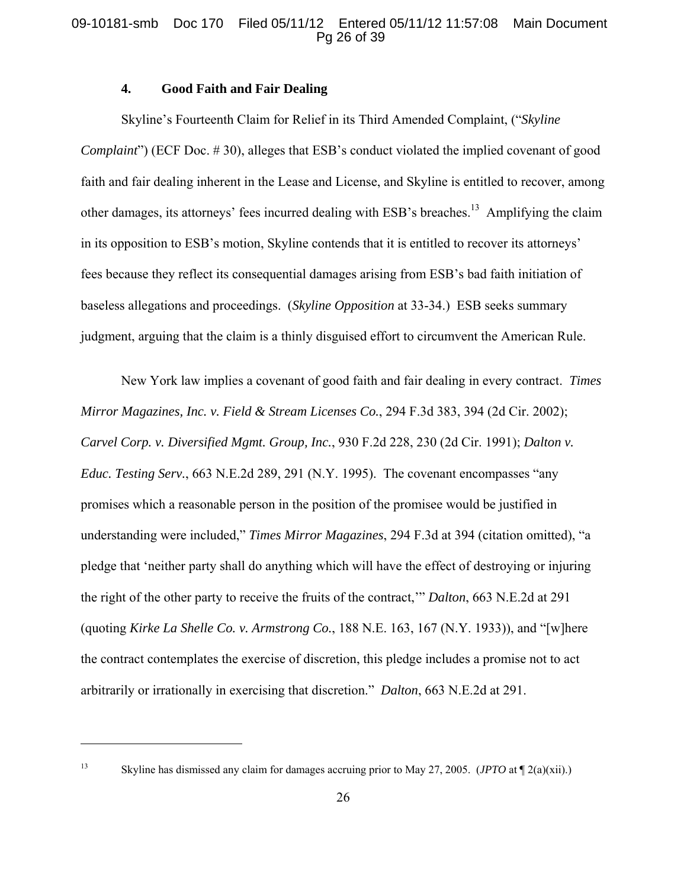# 09-10181-smb Doc 170 Filed 05/11/12 Entered 05/11/12 11:57:08 Main Document Pg 26 of 39

# **4. Good Faith and Fair Dealing**

Skyline's Fourteenth Claim for Relief in its Third Amended Complaint, ("*Skyline Complaint*") (ECF Doc. #30), alleges that ESB's conduct violated the implied covenant of good faith and fair dealing inherent in the Lease and License, and Skyline is entitled to recover, among other damages, its attorneys' fees incurred dealing with ESB's breaches.<sup>13</sup> Amplifying the claim in its opposition to ESB's motion, Skyline contends that it is entitled to recover its attorneys' fees because they reflect its consequential damages arising from ESB's bad faith initiation of baseless allegations and proceedings. (*Skyline Opposition* at 33-34.) ESB seeks summary judgment, arguing that the claim is a thinly disguised effort to circumvent the American Rule.

New York law implies a covenant of good faith and fair dealing in every contract. *Times Mirror Magazines, Inc. v. Field & Stream Licenses Co.*, 294 F.3d 383, 394 (2d Cir. 2002); *Carvel Corp. v. Diversified Mgmt. Group, Inc.*, 930 F.2d 228, 230 (2d Cir. 1991); *Dalton v. Educ. Testing Serv.*, 663 N.E.2d 289, 291 (N.Y. 1995). The covenant encompasses "any promises which a reasonable person in the position of the promisee would be justified in understanding were included," *Times Mirror Magazines*, 294 F.3d at 394 (citation omitted), "a pledge that 'neither party shall do anything which will have the effect of destroying or injuring the right of the other party to receive the fruits of the contract,'" *Dalton*, 663 N.E.2d at 291 (quoting *Kirke La Shelle Co. v. Armstrong Co.*, 188 N.E. 163, 167 (N.Y. 1933)), and "[w]here the contract contemplates the exercise of discretion, this pledge includes a promise not to act arbitrarily or irrationally in exercising that discretion." *Dalton*, 663 N.E.2d at 291.

1

<sup>13</sup> Skyline has dismissed any claim for damages accruing prior to May 27, 2005. (*JPTO* at ¶ 2(a)(xii).)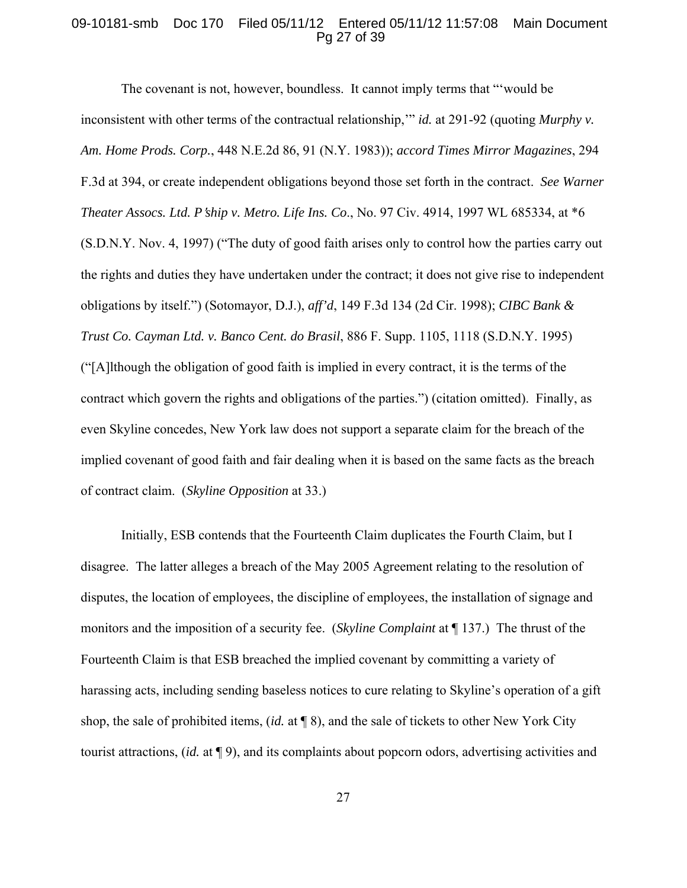## 09-10181-smb Doc 170 Filed 05/11/12 Entered 05/11/12 11:57:08 Main Document Pg 27 of 39

The covenant is not, however, boundless. It cannot imply terms that "'would be inconsistent with other terms of the contractual relationship," *id.* at 291-92 (quoting *Murphy v. Am. Home Prods. Corp.*, 448 N.E.2d 86, 91 (N.Y. 1983)); *accord Times Mirror Magazines*, 294 F.3d at 394, or create independent obligations beyond those set forth in the contract. *See Warner Theater Assocs. Ltd. P*=*ship v. Metro. Life Ins. Co*., No. 97 Civ. 4914, 1997 WL 685334, at \*6 (S.D.N.Y. Nov. 4, 1997) ("The duty of good faith arises only to control how the parties carry out the rights and duties they have undertaken under the contract; it does not give rise to independent obligations by itself.") (Sotomayor, D.J.), *aff'd*, 149 F.3d 134 (2d Cir. 1998); *CIBC Bank & Trust Co. Cayman Ltd. v. Banco Cent. do Brasil*, 886 F. Supp. 1105, 1118 (S.D.N.Y. 1995) ("[A]lthough the obligation of good faith is implied in every contract, it is the terms of the contract which govern the rights and obligations of the parties.") (citation omitted). Finally, as even Skyline concedes, New York law does not support a separate claim for the breach of the implied covenant of good faith and fair dealing when it is based on the same facts as the breach of contract claim. (*Skyline Opposition* at 33.)

Initially, ESB contends that the Fourteenth Claim duplicates the Fourth Claim, but I disagree. The latter alleges a breach of the May 2005 Agreement relating to the resolution of disputes, the location of employees, the discipline of employees, the installation of signage and monitors and the imposition of a security fee. (*Skyline Complaint* at ¶ 137.) The thrust of the Fourteenth Claim is that ESB breached the implied covenant by committing a variety of harassing acts, including sending baseless notices to cure relating to Skyline's operation of a gift shop, the sale of prohibited items, (*id.* at ¶ 8), and the sale of tickets to other New York City tourist attractions, (*id.* at ¶ 9), and its complaints about popcorn odors, advertising activities and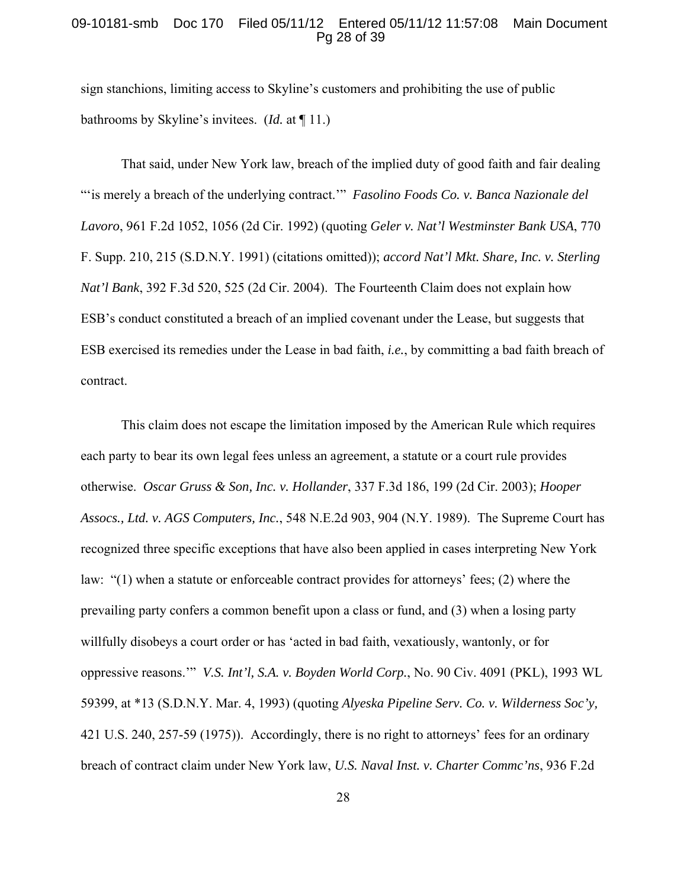### 09-10181-smb Doc 170 Filed 05/11/12 Entered 05/11/12 11:57:08 Main Document Pg 28 of 39

sign stanchions, limiting access to Skyline's customers and prohibiting the use of public bathrooms by Skyline's invitees. (*Id.* at ¶ 11.)

That said, under New York law, breach of the implied duty of good faith and fair dealing "'is merely a breach of the underlying contract.'" *Fasolino Foods Co. v. Banca Nazionale del Lavoro*, 961 F.2d 1052, 1056 (2d Cir. 1992) (quoting *Geler v. Nat'l Westminster Bank USA*, 770 F. Supp. 210, 215 (S.D.N.Y. 1991) (citations omitted)); *accord Nat'l Mkt. Share, Inc. v. Sterling Nat'l Bank*, 392 F.3d 520, 525 (2d Cir. 2004). The Fourteenth Claim does not explain how ESB's conduct constituted a breach of an implied covenant under the Lease, but suggests that ESB exercised its remedies under the Lease in bad faith, *i.e.*, by committing a bad faith breach of contract.

This claim does not escape the limitation imposed by the American Rule which requires each party to bear its own legal fees unless an agreement, a statute or a court rule provides otherwise. *Oscar Gruss & Son, Inc. v. Hollander*, 337 F.3d 186, 199 (2d Cir. 2003); *Hooper Assocs., Ltd. v. AGS Computers, Inc.*, 548 N.E.2d 903, 904 (N.Y. 1989). The Supreme Court has recognized three specific exceptions that have also been applied in cases interpreting New York law: "(1) when a statute or enforceable contract provides for attorneys' fees; (2) where the prevailing party confers a common benefit upon a class or fund, and (3) when a losing party willfully disobeys a court order or has 'acted in bad faith, vexatiously, wantonly, or for oppressive reasons.'" *V.S. Int'l, S.A. v. Boyden World Corp.*, No. 90 Civ. 4091 (PKL), 1993 WL 59399, at \*13 (S.D.N.Y. Mar. 4, 1993) (quoting *Alyeska Pipeline Serv. Co. v. Wilderness Soc'y,* 421 U.S. 240, 257-59 (1975)). Accordingly, there is no right to attorneys' fees for an ordinary breach of contract claim under New York law, *U.S. Naval Inst. v. Charter Commc'ns*, 936 F.2d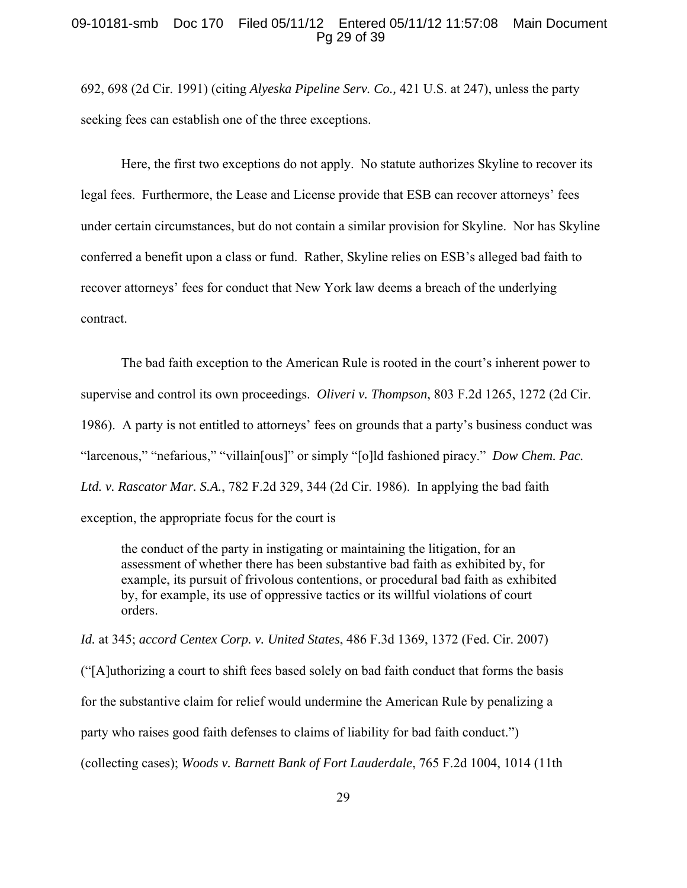## 09-10181-smb Doc 170 Filed 05/11/12 Entered 05/11/12 11:57:08 Main Document Pg 29 of 39

692, 698 (2d Cir. 1991) (citing *Alyeska Pipeline Serv. Co.,* 421 U.S. at 247), unless the party seeking fees can establish one of the three exceptions.

Here, the first two exceptions do not apply. No statute authorizes Skyline to recover its legal fees. Furthermore, the Lease and License provide that ESB can recover attorneys' fees under certain circumstances, but do not contain a similar provision for Skyline. Nor has Skyline conferred a benefit upon a class or fund. Rather, Skyline relies on ESB's alleged bad faith to recover attorneys' fees for conduct that New York law deems a breach of the underlying contract.

The bad faith exception to the American Rule is rooted in the court's inherent power to supervise and control its own proceedings. *Oliveri v. Thompson*, 803 F.2d 1265, 1272 (2d Cir. 1986). A party is not entitled to attorneys' fees on grounds that a party's business conduct was "larcenous," "nefarious," "villain[ous]" or simply "[o]ld fashioned piracy." *Dow Chem. Pac. Ltd. v. Rascator Mar. S.A.*, 782 F.2d 329, 344 (2d Cir. 1986).In applying the bad faith exception, the appropriate focus for the court is

the conduct of the party in instigating or maintaining the litigation, for an assessment of whether there has been substantive bad faith as exhibited by, for example, its pursuit of frivolous contentions, or procedural bad faith as exhibited by, for example, its use of oppressive tactics or its willful violations of court orders.

*Id.* at 345; *accord Centex Corp. v. United States*, 486 F.3d 1369, 1372 (Fed. Cir. 2007)

("[A]uthorizing a court to shift fees based solely on bad faith conduct that forms the basis for the substantive claim for relief would undermine the American Rule by penalizing a party who raises good faith defenses to claims of liability for bad faith conduct.") (collecting cases); *Woods v. Barnett Bank of Fort Lauderdale*, 765 F.2d 1004, 1014 (11th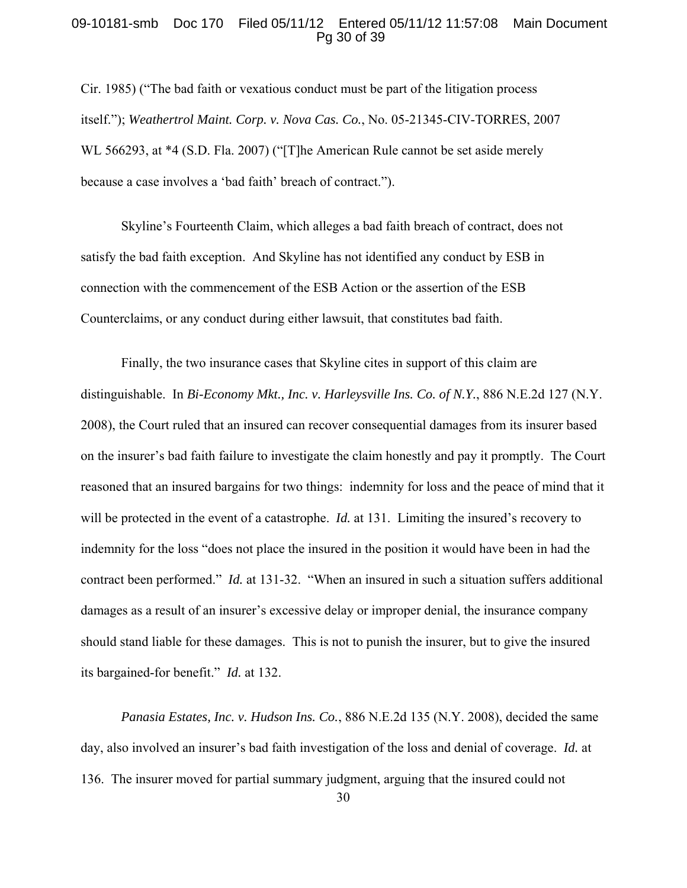## 09-10181-smb Doc 170 Filed 05/11/12 Entered 05/11/12 11:57:08 Main Document Pg 30 of 39

Cir. 1985) ("The bad faith or vexatious conduct must be part of the litigation process itself."); *Weathertrol Maint. Corp. v. Nova Cas. Co.*, No. 05-21345-CIV-TORRES, 2007 WL 566293, at \*4 (S.D. Fla. 2007) ("[T]he American Rule cannot be set aside merely because a case involves a 'bad faith' breach of contract.").

Skyline's Fourteenth Claim, which alleges a bad faith breach of contract, does not satisfy the bad faith exception. And Skyline has not identified any conduct by ESB in connection with the commencement of the ESB Action or the assertion of the ESB Counterclaims, or any conduct during either lawsuit, that constitutes bad faith.

Finally, the two insurance cases that Skyline cites in support of this claim are distinguishable. In *Bi-Economy Mkt., Inc. v. Harleysville Ins. Co. of N.Y.*, 886 N.E.2d 127 (N.Y. 2008), the Court ruled that an insured can recover consequential damages from its insurer based on the insurer's bad faith failure to investigate the claim honestly and pay it promptly. The Court reasoned that an insured bargains for two things: indemnity for loss and the peace of mind that it will be protected in the event of a catastrophe. *Id.* at 131. Limiting the insured's recovery to indemnity for the loss "does not place the insured in the position it would have been in had the contract been performed." *Id.* at 131-32. "When an insured in such a situation suffers additional damages as a result of an insurer's excessive delay or improper denial, the insurance company should stand liable for these damages. This is not to punish the insurer, but to give the insured its bargained-for benefit." *Id.* at 132.

*Panasia Estates, Inc. v. Hudson Ins. Co.*, 886 N.E.2d 135 (N.Y. 2008), decided the same day, also involved an insurer's bad faith investigation of the loss and denial of coverage. *Id.* at 136. The insurer moved for partial summary judgment, arguing that the insured could not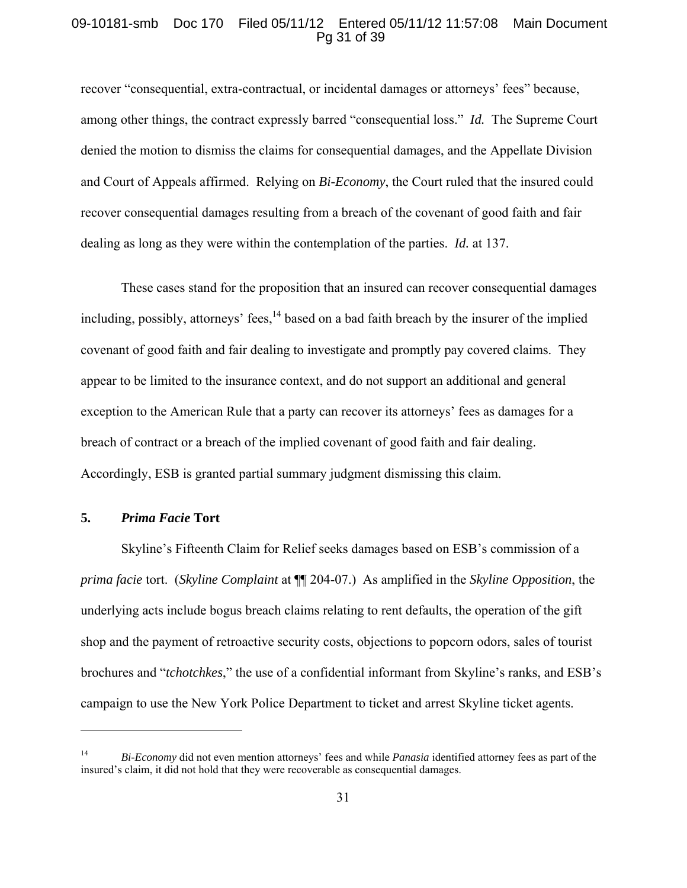## 09-10181-smb Doc 170 Filed 05/11/12 Entered 05/11/12 11:57:08 Main Document Pg 31 of 39

recover "consequential, extra-contractual, or incidental damages or attorneys' fees" because, among other things, the contract expressly barred "consequential loss." *Id.* The Supreme Court denied the motion to dismiss the claims for consequential damages, and the Appellate Division and Court of Appeals affirmed. Relying on *Bi-Economy*, the Court ruled that the insured could recover consequential damages resulting from a breach of the covenant of good faith and fair dealing as long as they were within the contemplation of the parties. *Id.* at 137.

These cases stand for the proposition that an insured can recover consequential damages including, possibly, attorneys' fees,  $^{14}$  based on a bad faith breach by the insurer of the implied covenant of good faith and fair dealing to investigate and promptly pay covered claims. They appear to be limited to the insurance context, and do not support an additional and general exception to the American Rule that a party can recover its attorneys' fees as damages for a breach of contract or a breach of the implied covenant of good faith and fair dealing. Accordingly, ESB is granted partial summary judgment dismissing this claim.

# **5.** *Prima Facie* **Tort**

<u>.</u>

Skyline's Fifteenth Claim for Relief seeks damages based on ESB's commission of a *prima facie* tort. (*Skyline Complaint* at ¶¶ 204-07.) As amplified in the *Skyline Opposition*, the underlying acts include bogus breach claims relating to rent defaults, the operation of the gift shop and the payment of retroactive security costs, objections to popcorn odors, sales of tourist brochures and "*tchotchkes*," the use of a confidential informant from Skyline's ranks, and ESB's campaign to use the New York Police Department to ticket and arrest Skyline ticket agents.

<sup>14</sup> *Bi-Economy* did not even mention attorneys' fees and while *Panasia* identified attorney fees as part of the insured's claim, it did not hold that they were recoverable as consequential damages.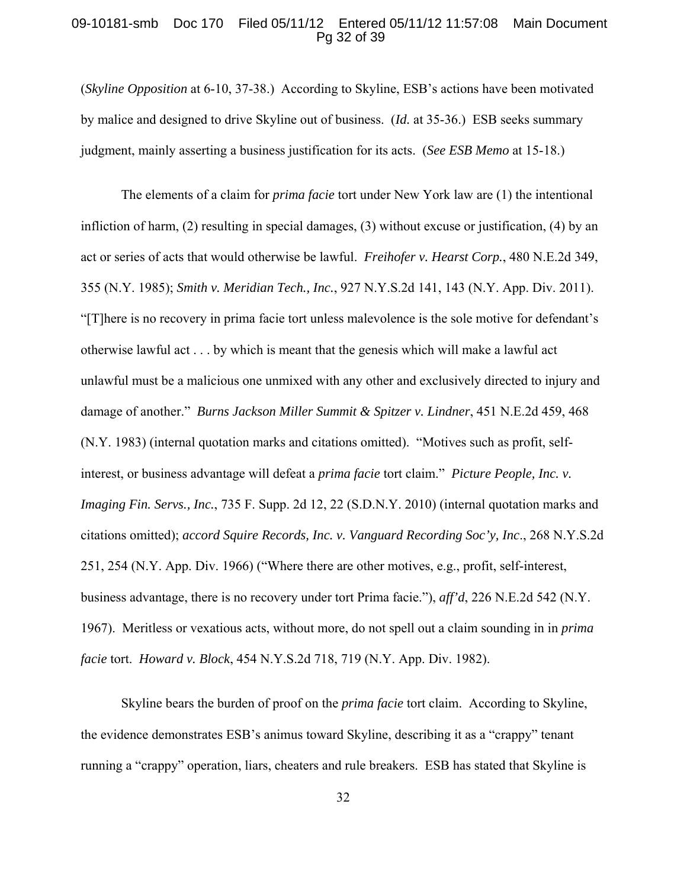## 09-10181-smb Doc 170 Filed 05/11/12 Entered 05/11/12 11:57:08 Main Document Pg 32 of 39

(*Skyline Opposition* at 6-10, 37-38.) According to Skyline, ESB's actions have been motivated by malice and designed to drive Skyline out of business. (*Id.* at 35-36.) ESB seeks summary judgment, mainly asserting a business justification for its acts. (*See ESB Memo* at 15-18.)

The elements of a claim for *prima facie* tort under New York law are (1) the intentional infliction of harm, (2) resulting in special damages, (3) without excuse or justification, (4) by an act or series of acts that would otherwise be lawful. *Freihofer v. Hearst Corp.*, 480 N.E.2d 349, 355 (N.Y. 1985); *Smith v. Meridian Tech., Inc.*, 927 N.Y.S.2d 141, 143 (N.Y. App. Div. 2011). "[T]here is no recovery in prima facie tort unless malevolence is the sole motive for defendant's otherwise lawful act . . . by which is meant that the genesis which will make a lawful act unlawful must be a malicious one unmixed with any other and exclusively directed to injury and damage of another." *Burns Jackson Miller Summit & Spitzer v. Lindner*, 451 N.E.2d 459, 468 (N.Y. 1983) (internal quotation marks and citations omitted). "Motives such as profit, selfinterest, or business advantage will defeat a *prima facie* tort claim." *Picture People, Inc. v. Imaging Fin. Servs., Inc., 735 F. Supp. 2d 12, 22 (S.D.N.Y. 2010)* (internal quotation marks and citations omitted); *accord Squire Records, Inc. v. Vanguard Recording Soc'y, Inc*., 268 N.Y.S.2d 251, 254 (N.Y. App. Div. 1966) ("Where there are other motives, e.g., profit, self-interest, business advantage, there is no recovery under tort Prima facie."), *aff'd*, 226 N.E.2d 542 (N.Y. 1967). Meritless or vexatious acts, without more, do not spell out a claim sounding in in *prima facie* tort. *Howard v. Block*, 454 N.Y.S.2d 718, 719 (N.Y. App. Div. 1982).

Skyline bears the burden of proof on the *prima facie* tort claim. According to Skyline, the evidence demonstrates ESB's animus toward Skyline, describing it as a "crappy" tenant running a "crappy" operation, liars, cheaters and rule breakers. ESB has stated that Skyline is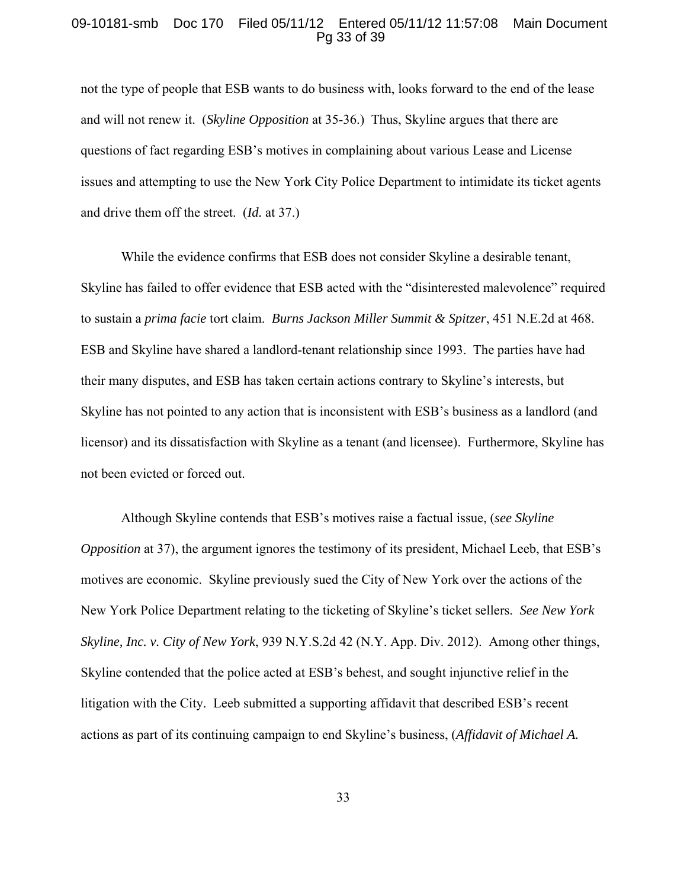## 09-10181-smb Doc 170 Filed 05/11/12 Entered 05/11/12 11:57:08 Main Document Pg 33 of 39

not the type of people that ESB wants to do business with, looks forward to the end of the lease and will not renew it. (*Skyline Opposition* at 35-36.) Thus, Skyline argues that there are questions of fact regarding ESB's motives in complaining about various Lease and License issues and attempting to use the New York City Police Department to intimidate its ticket agents and drive them off the street. (*Id.* at 37.)

While the evidence confirms that ESB does not consider Skyline a desirable tenant, Skyline has failed to offer evidence that ESB acted with the "disinterested malevolence" required to sustain a *prima facie* tort claim. *Burns Jackson Miller Summit & Spitzer*, 451 N.E.2d at 468. ESB and Skyline have shared a landlord-tenant relationship since 1993. The parties have had their many disputes, and ESB has taken certain actions contrary to Skyline's interests, but Skyline has not pointed to any action that is inconsistent with ESB's business as a landlord (and licensor) and its dissatisfaction with Skyline as a tenant (and licensee). Furthermore, Skyline has not been evicted or forced out.

Although Skyline contends that ESB's motives raise a factual issue, (*see Skyline Opposition* at 37), the argument ignores the testimony of its president, Michael Leeb, that ESB's motives are economic. Skyline previously sued the City of New York over the actions of the New York Police Department relating to the ticketing of Skyline's ticket sellers. *See New York Skyline, Inc. v. City of New York*, 939 N.Y.S.2d 42 (N.Y. App. Div. 2012). Among other things, Skyline contended that the police acted at ESB's behest, and sought injunctive relief in the litigation with the City. Leeb submitted a supporting affidavit that described ESB's recent actions as part of its continuing campaign to end Skyline's business, (*Affidavit of Michael A.*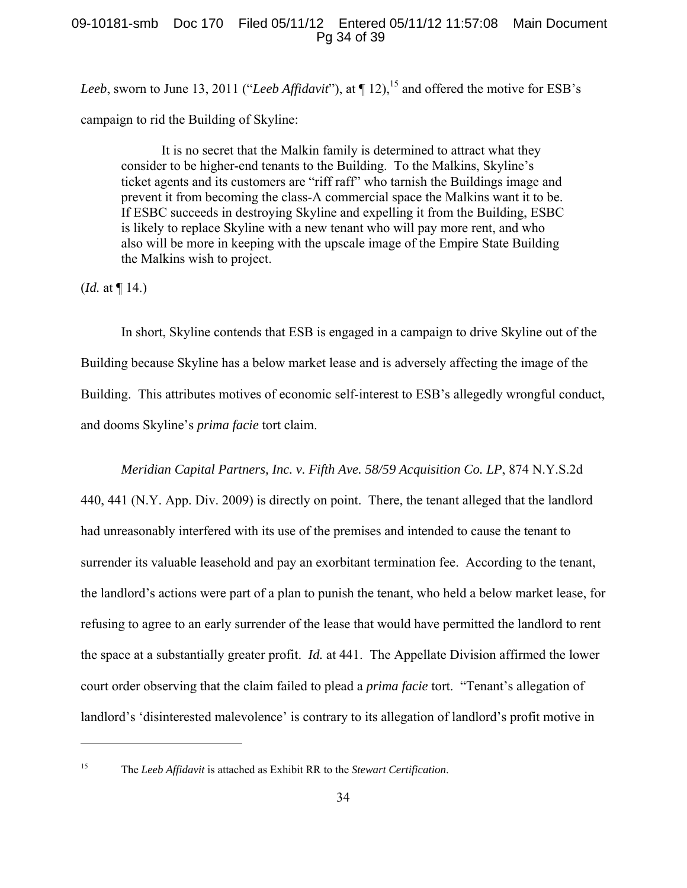# 09-10181-smb Doc 170 Filed 05/11/12 Entered 05/11/12 11:57:08 Main Document Pg 34 of 39

*Leeb*, sworn to June 13, 2011 ("*Leeb Affidavit*"), at  $\P$  12), <sup>15</sup> and offered the motive for ESB's campaign to rid the Building of Skyline:

It is no secret that the Malkin family is determined to attract what they consider to be higher-end tenants to the Building. To the Malkins, Skyline's ticket agents and its customers are "riff raff" who tarnish the Buildings image and prevent it from becoming the class-A commercial space the Malkins want it to be. If ESBC succeeds in destroying Skyline and expelling it from the Building, ESBC is likely to replace Skyline with a new tenant who will pay more rent, and who also will be more in keeping with the upscale image of the Empire State Building the Malkins wish to project.

(*Id.* at  $\P$  14.)

In short, Skyline contends that ESB is engaged in a campaign to drive Skyline out of the Building because Skyline has a below market lease and is adversely affecting the image of the Building. This attributes motives of economic self-interest to ESB's allegedly wrongful conduct, and dooms Skyline's *prima facie* tort claim.

## *Meridian Capital Partners, Inc. v. Fifth Ave. 58/59 Acquisition Co. LP*, 874 N.Y.S.2d

440, 441 (N.Y. App. Div. 2009) is directly on point. There, the tenant alleged that the landlord had unreasonably interfered with its use of the premises and intended to cause the tenant to surrender its valuable leasehold and pay an exorbitant termination fee. According to the tenant, the landlord's actions were part of a plan to punish the tenant, who held a below market lease, for refusing to agree to an early surrender of the lease that would have permitted the landlord to rent the space at a substantially greater profit. *Id.* at 441. The Appellate Division affirmed the lower court order observing that the claim failed to plead a *prima facie* tort. "Tenant's allegation of landlord's 'disinterested malevolence' is contrary to its allegation of landlord's profit motive in

<sup>15</sup> The *Leeb Affidavit* is attached as Exhibit RR to the *Stewart Certification*.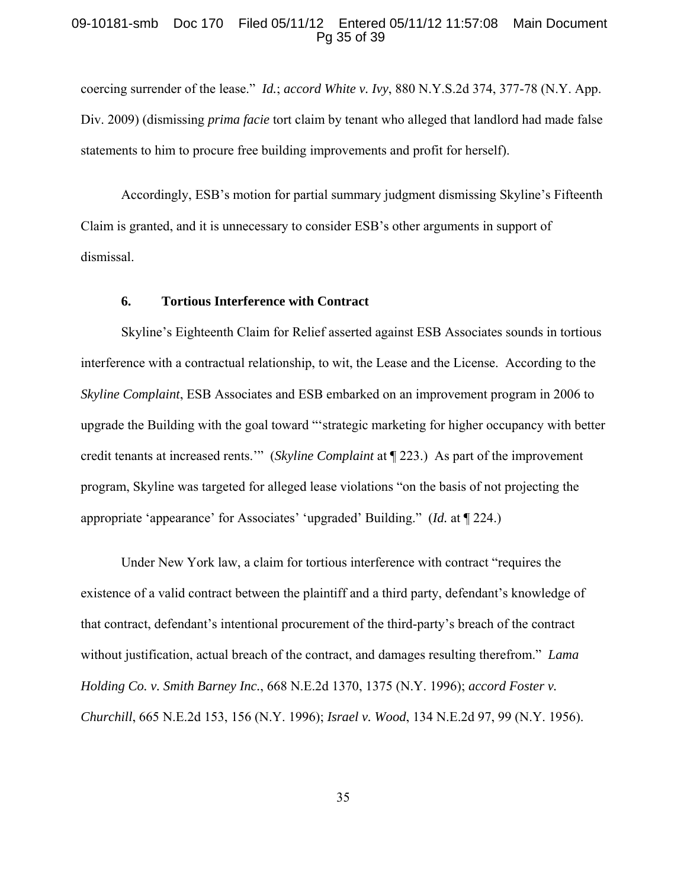## 09-10181-smb Doc 170 Filed 05/11/12 Entered 05/11/12 11:57:08 Main Document Pg 35 of 39

coercing surrender of the lease." *Id.*; *accord White v. Ivy*, 880 N.Y.S.2d 374, 377-78 (N.Y. App. Div. 2009) (dismissing *prima facie* tort claim by tenant who alleged that landlord had made false statements to him to procure free building improvements and profit for herself).

Accordingly, ESB's motion for partial summary judgment dismissing Skyline's Fifteenth Claim is granted, and it is unnecessary to consider ESB's other arguments in support of dismissal.

#### **6. Tortious Interference with Contract**

Skyline's Eighteenth Claim for Relief asserted against ESB Associates sounds in tortious interference with a contractual relationship, to wit, the Lease and the License. According to the *Skyline Complaint*, ESB Associates and ESB embarked on an improvement program in 2006 to upgrade the Building with the goal toward "'strategic marketing for higher occupancy with better credit tenants at increased rents.'" (*Skyline Complaint* at ¶ 223.) As part of the improvement program, Skyline was targeted for alleged lease violations "on the basis of not projecting the appropriate 'appearance' for Associates' 'upgraded' Building." (*Id.* at ¶ 224.)

Under New York law, a claim for tortious interference with contract "requires the existence of a valid contract between the plaintiff and a third party, defendant's knowledge of that contract, defendant's intentional procurement of the third-party's breach of the contract without justification, actual breach of the contract, and damages resulting therefrom." *Lama Holding Co. v. Smith Barney Inc.*, 668 N.E.2d 1370, 1375 (N.Y. 1996); *accord Foster v. Churchill*, 665 N.E.2d 153, 156 (N.Y. 1996); *Israel v. Wood*, 134 N.E.2d 97, 99 (N.Y. 1956).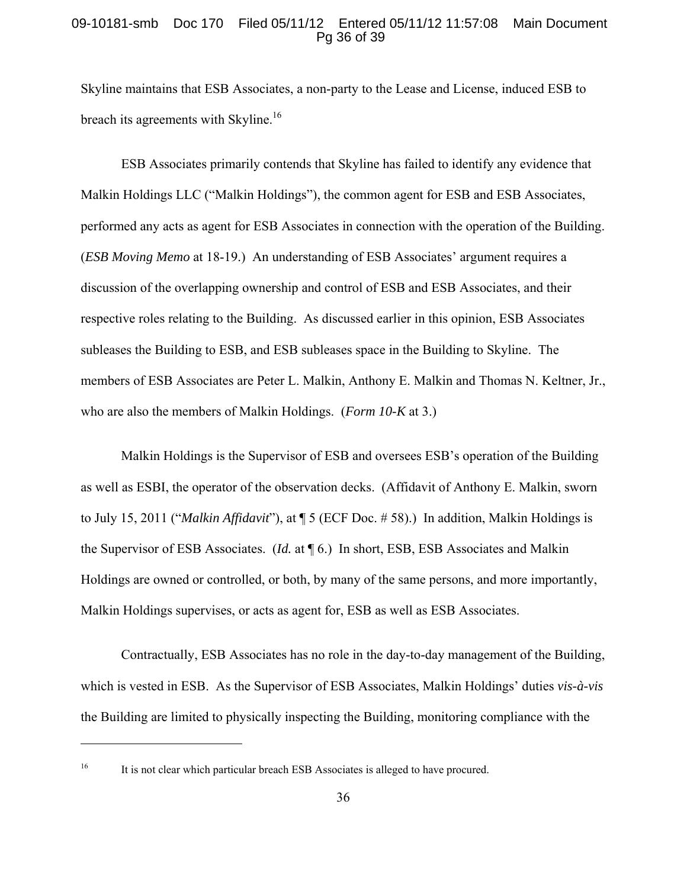## 09-10181-smb Doc 170 Filed 05/11/12 Entered 05/11/12 11:57:08 Main Document Pg 36 of 39

Skyline maintains that ESB Associates, a non-party to the Lease and License, induced ESB to breach its agreements with Skyline.<sup>16</sup>

ESB Associates primarily contends that Skyline has failed to identify any evidence that Malkin Holdings LLC ("Malkin Holdings"), the common agent for ESB and ESB Associates, performed any acts as agent for ESB Associates in connection with the operation of the Building. (*ESB Moving Memo* at 18-19.) An understanding of ESB Associates' argument requires a discussion of the overlapping ownership and control of ESB and ESB Associates, and their respective roles relating to the Building. As discussed earlier in this opinion, ESB Associates subleases the Building to ESB, and ESB subleases space in the Building to Skyline. The members of ESB Associates are Peter L. Malkin, Anthony E. Malkin and Thomas N. Keltner, Jr., who are also the members of Malkin Holdings. (*Form 10-K* at 3.)

Malkin Holdings is the Supervisor of ESB and oversees ESB's operation of the Building as well as ESBI, the operator of the observation decks. (Affidavit of Anthony E. Malkin, sworn to July 15, 2011 ("*Malkin Affidavit*"), at ¶ 5 (ECF Doc. # 58).) In addition, Malkin Holdings is the Supervisor of ESB Associates. (*Id.* at ¶ 6.) In short, ESB, ESB Associates and Malkin Holdings are owned or controlled, or both, by many of the same persons, and more importantly, Malkin Holdings supervises, or acts as agent for, ESB as well as ESB Associates.

Contractually, ESB Associates has no role in the day-to-day management of the Building, which is vested in ESB. As the Supervisor of ESB Associates, Malkin Holdings' duties *vis-à-vis* the Building are limited to physically inspecting the Building, monitoring compliance with the

<sup>&</sup>lt;sup>16</sup> It is not clear which particular breach ESB Associates is alleged to have procured.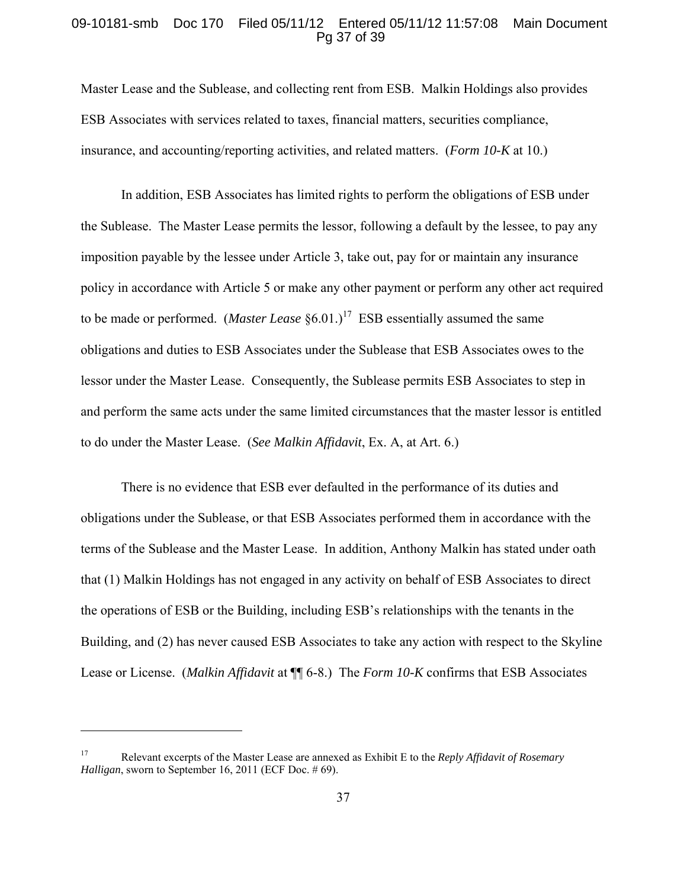## 09-10181-smb Doc 170 Filed 05/11/12 Entered 05/11/12 11:57:08 Main Document Pg 37 of 39

Master Lease and the Sublease, and collecting rent from ESB. Malkin Holdings also provides ESB Associates with services related to taxes, financial matters, securities compliance, insurance, and accounting/reporting activities, and related matters. (*Form 10-K* at 10.)

In addition, ESB Associates has limited rights to perform the obligations of ESB under the Sublease. The Master Lease permits the lessor, following a default by the lessee, to pay any imposition payable by the lessee under Article 3, take out, pay for or maintain any insurance policy in accordance with Article 5 or make any other payment or perform any other act required to be made or performed. (*Master Lease*  $\S 6.01$ .)<sup>17</sup> ESB essentially assumed the same obligations and duties to ESB Associates under the Sublease that ESB Associates owes to the lessor under the Master Lease. Consequently, the Sublease permits ESB Associates to step in and perform the same acts under the same limited circumstances that the master lessor is entitled to do under the Master Lease. (*See Malkin Affidavit*, Ex. A, at Art. 6.)

There is no evidence that ESB ever defaulted in the performance of its duties and obligations under the Sublease, or that ESB Associates performed them in accordance with the terms of the Sublease and the Master Lease. In addition, Anthony Malkin has stated under oath that (1) Malkin Holdings has not engaged in any activity on behalf of ESB Associates to direct the operations of ESB or the Building, including ESB's relationships with the tenants in the Building, and (2) has never caused ESB Associates to take any action with respect to the Skyline Lease or License. (*Malkin Affidavit* at ¶¶ 6-8.) The *Form 10-K* confirms that ESB Associates

<sup>17</sup> Relevant excerpts of the Master Lease are annexed as Exhibit E to the *Reply Affidavit of Rosemary Halligan*, sworn to September 16, 2011 (ECF Doc. # 69).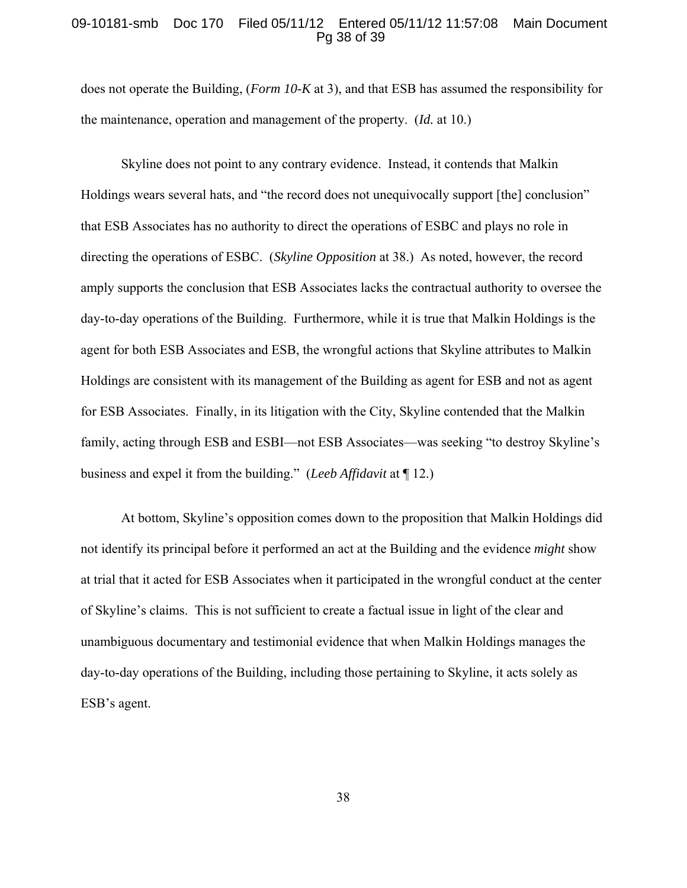### 09-10181-smb Doc 170 Filed 05/11/12 Entered 05/11/12 11:57:08 Main Document Pg 38 of 39

does not operate the Building, (*Form 10-K* at 3), and that ESB has assumed the responsibility for the maintenance, operation and management of the property. (*Id.* at 10.)

Skyline does not point to any contrary evidence. Instead, it contends that Malkin Holdings wears several hats, and "the record does not unequivocally support [the] conclusion" that ESB Associates has no authority to direct the operations of ESBC and plays no role in directing the operations of ESBC. (*Skyline Opposition* at 38.) As noted, however, the record amply supports the conclusion that ESB Associates lacks the contractual authority to oversee the day-to-day operations of the Building. Furthermore, while it is true that Malkin Holdings is the agent for both ESB Associates and ESB, the wrongful actions that Skyline attributes to Malkin Holdings are consistent with its management of the Building as agent for ESB and not as agent for ESB Associates. Finally, in its litigation with the City, Skyline contended that the Malkin family, acting through ESB and ESBI—not ESB Associates—was seeking "to destroy Skyline's business and expel it from the building." (*Leeb Affidavit* at ¶ 12.)

At bottom, Skyline's opposition comes down to the proposition that Malkin Holdings did not identify its principal before it performed an act at the Building and the evidence *might* show at trial that it acted for ESB Associates when it participated in the wrongful conduct at the center of Skyline's claims. This is not sufficient to create a factual issue in light of the clear and unambiguous documentary and testimonial evidence that when Malkin Holdings manages the day-to-day operations of the Building, including those pertaining to Skyline, it acts solely as ESB's agent.